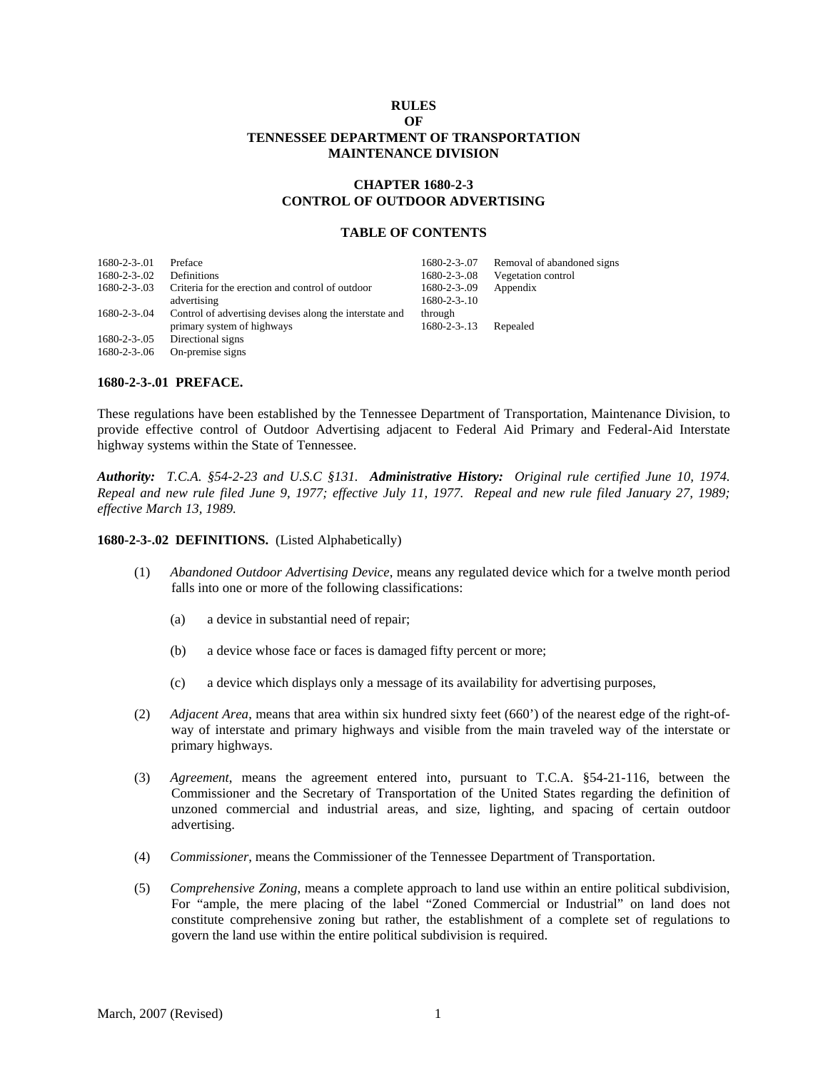## **RULES OF TENNESSEE DEPARTMENT OF TRANSPORTATION MAINTENANCE DIVISION**

# **CHAPTER 1680-2-3 CONTROL OF OUTDOOR ADVERTISING**

### **TABLE OF CONTENTS**

| $1680 - 2 - 3 - 01$   | Preface                                                 | $1680 - 2 - 3 - 07$   | Removal of abandoned signs |
|-----------------------|---------------------------------------------------------|-----------------------|----------------------------|
| $1680 - 2 - 3 - 02$   | Definitions                                             | $1680 - 2 - 3 - 0.08$ | Vegetation control         |
| $1680 - 2 - 3 - 03$   | Criteria for the erection and control of outdoor        | 1680-2-3-09           | Appendix                   |
|                       | advertising                                             | $1680 - 2 - 3 - 10$   |                            |
| $1680 - 2 - 3 - 04$   | Control of advertising devises along the interstate and | through               |                            |
|                       | primary system of highways                              | $1680 - 2 - 3 - 13$   | Repealed                   |
| $1680 - 2 - 3 - 0.05$ | Directional signs                                       |                       |                            |
| $1680 - 2 - 3 - 06$   | On-premise signs                                        |                       |                            |

## **1680-2-3-.01 PREFACE.**

These regulations have been established by the Tennessee Department of Transportation, Maintenance Division, to provide effective control of Outdoor Advertising adjacent to Federal Aid Primary and Federal-Aid Interstate highway systems within the State of Tennessee.

*Authority: T.C.A. §54-2-23 and U.S.C §131. Administrative History: Original rule certified June 10, 1974. Repeal and new rule filed June 9, 1977; effective July 11, 1977. Repeal and new rule filed January 27, 1989; effective March 13, 1989.* 

#### **1680-2-3-.02 DEFINITIONS.** (Listed Alphabetically)

- (1) *Abandoned Outdoor Advertising Device*, means any regulated device which for a twelve month period falls into one or more of the following classifications:
	- (a) a device in substantial need of repair;
	- (b) a device whose face or faces is damaged fifty percent or more;
	- (c) a device which displays only a message of its availability for advertising purposes,
- (2) *Adjacent Area*, means that area within six hundred sixty feet (660') of the nearest edge of the right-ofway of interstate and primary highways and visible from the main traveled way of the interstate or primary highways.
- (3) *Agreement*, means the agreement entered into, pursuant to T.C.A. §54-21-116, between the Commissioner and the Secretary of Transportation of the United States regarding the definition of unzoned commercial and industrial areas, and size, lighting, and spacing of certain outdoor advertising.
- (4) *Commissioner*, means the Commissioner of the Tennessee Department of Transportation.
- (5) *Comprehensive Zoning*, means a complete approach to land use within an entire political subdivision, For "ample, the mere placing of the label "Zoned Commercial or Industrial" on land does not constitute comprehensive zoning but rather, the establishment of a complete set of regulations to govern the land use within the entire political subdivision is required.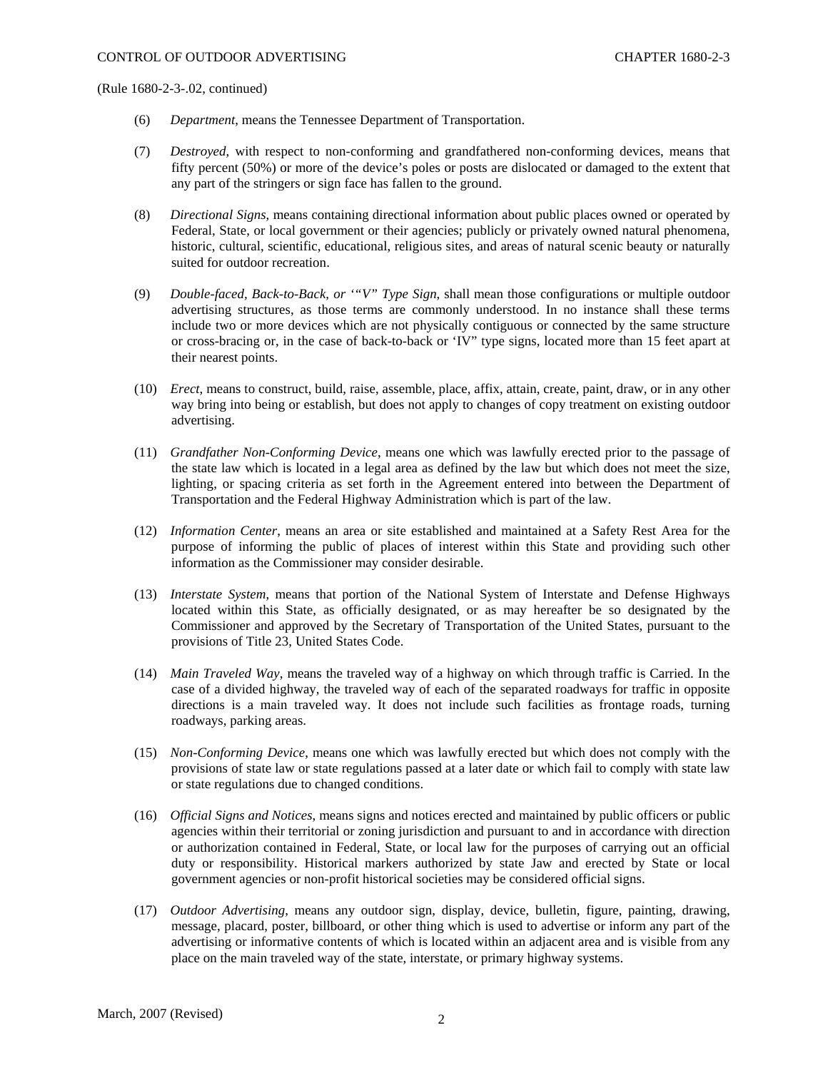- (6) *Department*, means the Tennessee Department of Transportation.
- (7) *Destroyed*, with respect to non-conforming and grandfathered non-conforming devices, means that fifty percent (50%) or more of the device's poles or posts are dislocated or damaged to the extent that any part of the stringers or sign face has fallen to the ground.
- (8) *Directional Signs*, means containing directional information about public places owned or operated by Federal, State, or local government or their agencies; publicly or privately owned natural phenomena, historic, cultural, scientific, educational, religious sites, and areas of natural scenic beauty or naturally suited for outdoor recreation.
- (9) *Double-faced, Back-to-Back, or '"V" Type Sign*, shall mean those configurations or multiple outdoor advertising structures, as those terms are commonly understood. In no instance shall these terms include two or more devices which are not physically contiguous or connected by the same structure or cross-bracing or, in the case of back-to-back or 'IV" type signs, located more than 15 feet apart at their nearest points.
- (10) *Erect*, means to construct, build, raise, assemble, place, affix, attain, create, paint, draw, or in any other way bring into being or establish, but does not apply to changes of copy treatment on existing outdoor advertising.
- (11) *Grandfather Non-Conforming Device*, means one which was lawfully erected prior to the passage of the state law which is located in a legal area as defined by the law but which does not meet the size, lighting, or spacing criteria as set forth in the Agreement entered into between the Department of Transportation and the Federal Highway Administration which is part of the law.
- (12) *Information Center*, means an area or site established and maintained at a Safety Rest Area for the purpose of informing the public of places of interest within this State and providing such other information as the Commissioner may consider desirable.
- (13) *Interstate System*, means that portion of the National System of Interstate and Defense Highways located within this State, as officially designated, or as may hereafter be so designated by the Commissioner and approved by the Secretary of Transportation of the United States, pursuant to the provisions of Title 23, United States Code.
- (14) *Main Traveled Way*, means the traveled way of a highway on which through traffic is Carried. In the case of a divided highway, the traveled way of each of the separated roadways for traffic in opposite directions is a main traveled way. It does not include such facilities as frontage roads, turning roadways, parking areas.
- (15) *Non-Conforming Device*, means one which was lawfully erected but which does not comply with the provisions of state law or state regulations passed at a later date or which fail to comply with state law or state regulations due to changed conditions.
- (16) *Official Signs and Notices*, means signs and notices erected and maintained by public officers or public agencies within their territorial or zoning jurisdiction and pursuant to and in accordance with direction or authorization contained in Federal, State, or local law for the purposes of carrying out an official duty or responsibility. Historical markers authorized by state Jaw and erected by State or local government agencies or non-profit historical societies may be considered official signs.
- (17) *Outdoor Advertising*, means any outdoor sign, display, device, bulletin, figure, painting, drawing, message, placard, poster, billboard, or other thing which is used to advertise or inform any part of the advertising or informative contents of which is located within an adjacent area and is visible from any place on the main traveled way of the state, interstate, or primary highway systems.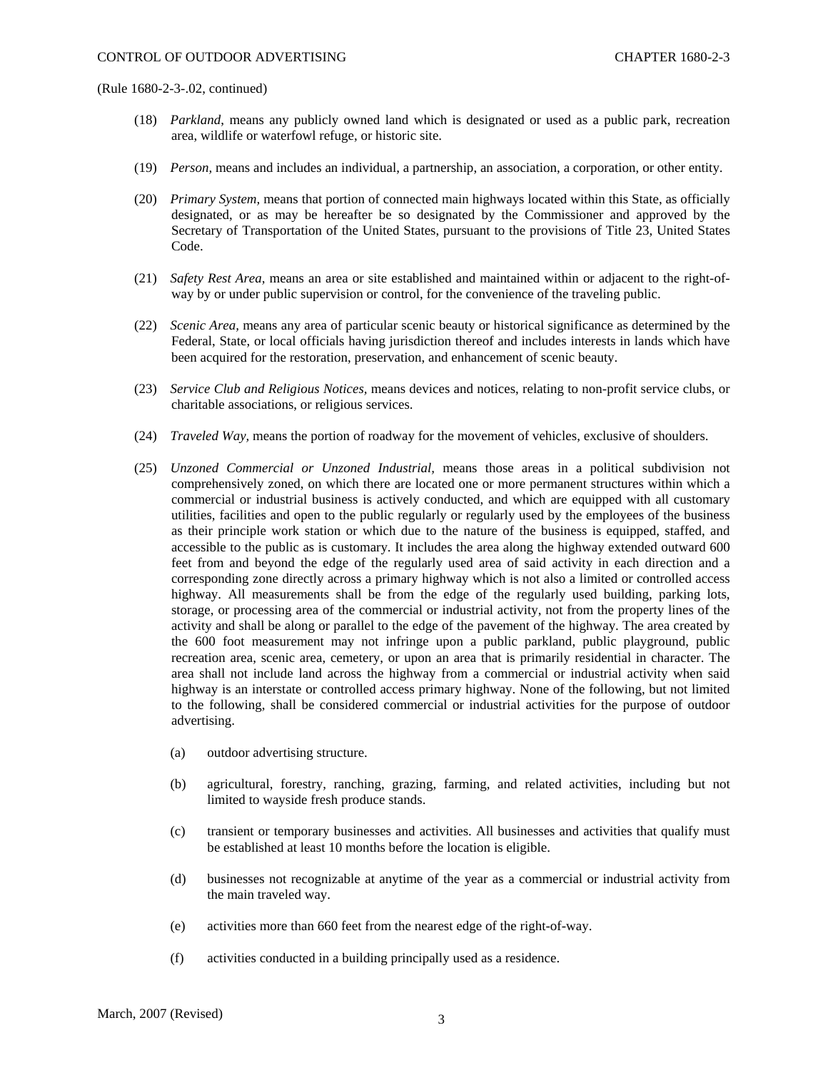- (18) *Parkland*, means any publicly owned land which is designated or used as a public park, recreation area, wildlife or waterfowl refuge, or historic site.
- (19) *Person,* means and includes an individual, a partnership, an association, a corporation, or other entity.
- (20) *Primary System,* means that portion of connected main highways located within this State, as officially designated, or as may be hereafter be so designated by the Commissioner and approved by the Secretary of Transportation of the United States, pursuant to the provisions of Title 23, United States Code.
- (21) *Safety Rest Area,* means an area or site established and maintained within or adjacent to the right-ofway by or under public supervision or control, for the convenience of the traveling public.
- (22) *Scenic Area,* means any area of particular scenic beauty or historical significance as determined by the Federal, State, or local officials having jurisdiction thereof and includes interests in lands which have been acquired for the restoration, preservation, and enhancement of scenic beauty.
- (23) *Service Club and Religious Notices,* means devices and notices, relating to non-profit service clubs, or charitable associations, or religious services.
- (24) *Traveled Way,* means the portion of roadway for the movement of vehicles, exclusive of shoulders.
- (25) *Unzoned Commercial or Unzoned Industrial,* means those areas in a political subdivision not comprehensively zoned, on which there are located one or more permanent structures within which a commercial or industrial business is actively conducted, and which are equipped with all customary utilities, facilities and open to the public regularly or regularly used by the employees of the business as their principle work station or which due to the nature of the business is equipped, staffed, and accessible to the public as is customary. It includes the area along the highway extended outward 600 feet from and beyond the edge of the regularly used area of said activity in each direction and a corresponding zone directly across a primary highway which is not also a limited or controlled access highway. All measurements shall be from the edge of the regularly used building, parking lots, storage, or processing area of the commercial or industrial activity, not from the property lines of the activity and shall be along or parallel to the edge of the pavement of the highway. The area created by the 600 foot measurement may not infringe upon a public parkland, public playground, public recreation area, scenic area, cemetery, or upon an area that is primarily residential in character. The area shall not include land across the highway from a commercial or industrial activity when said highway is an interstate or controlled access primary highway. None of the following, but not limited to the following, shall be considered commercial or industrial activities for the purpose of outdoor advertising.
	- (a) outdoor advertising structure.
	- (b) agricultural, forestry, ranching, grazing, farming, and related activities, including but not limited to wayside fresh produce stands.
	- (c) transient or temporary businesses and activities. All businesses and activities that qualify must be established at least 10 months before the location is eligible.
	- (d) businesses not recognizable at anytime of the year as a commercial or industrial activity from the main traveled way.
	- (e) activities more than 660 feet from the nearest edge of the right-of-way.
	- (f) activities conducted in a building principally used as a residence.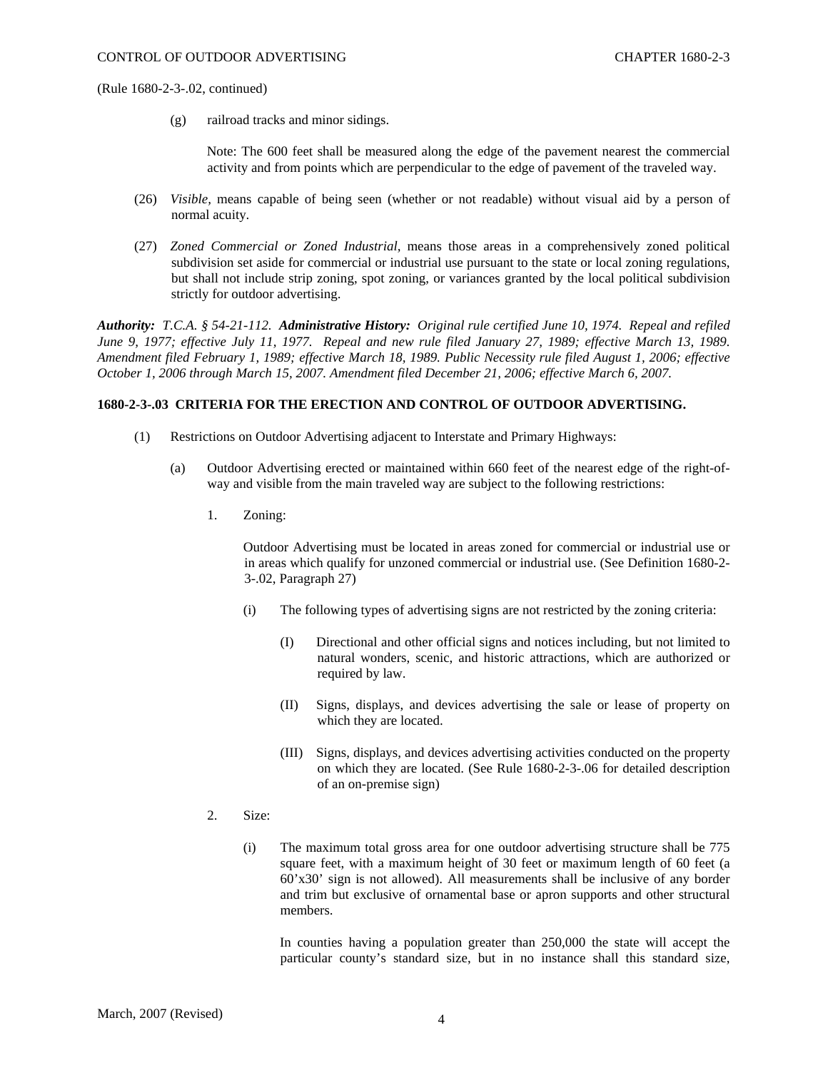(g) railroad tracks and minor sidings.

Note: The 600 feet shall be measured along the edge of the pavement nearest the commercial activity and from points which are perpendicular to the edge of pavement of the traveled way.

- (26) *Visible,* means capable of being seen (whether or not readable) without visual aid by a person of normal acuity.
- (27) *Zoned Commercial or Zoned Industrial,* means those areas in a comprehensively zoned political subdivision set aside for commercial or industrial use pursuant to the state or local zoning regulations, but shall not include strip zoning, spot zoning, or variances granted by the local political subdivision strictly for outdoor advertising.

*Authority: T.C.A. § 54-21-112. Administrative History: Original rule certified June 10, 1974. Repeal and refiled June 9, 1977; effective July 11, 1977. Repeal and new rule filed January 27, 1989; effective March 13, 1989. Amendment filed February 1, 1989; effective March 18, 1989. Public Necessity rule filed August 1, 2006; effective October 1, 2006 through March 15, 2007. Amendment filed December 21, 2006; effective March 6, 2007.* 

## **1680-2-3-.03 CRITERIA FOR THE ERECTION AND CONTROL OF OUTDOOR ADVERTISING.**

- (1) Restrictions on Outdoor Advertising adjacent to Interstate and Primary Highways:
	- (a) Outdoor Advertising erected or maintained within 660 feet of the nearest edge of the right-ofway and visible from the main traveled way are subject to the following restrictions:
		- 1. Zoning:

Outdoor Advertising must be located in areas zoned for commercial or industrial use or in areas which qualify for unzoned commercial or industrial use. (See Definition 1680-2- 3-.02, Paragraph 27)

- (i) The following types of advertising signs are not restricted by the zoning criteria:
	- (I) Directional and other official signs and notices including, but not limited to natural wonders, scenic, and historic attractions, which are authorized or required by law.
	- (II) Signs, displays, and devices advertising the sale or lease of property on which they are located.
	- (III) Signs, displays, and devices advertising activities conducted on the property on which they are located. (See Rule 1680-2-3-.06 for detailed description of an on-premise sign)
- 2. Size:
	- (i) The maximum total gross area for one outdoor advertising structure shall be 775 square feet, with a maximum height of 30 feet or maximum length of 60 feet (a 60'x30' sign is not allowed). All measurements shall be inclusive of any border and trim but exclusive of ornamental base or apron supports and other structural members.

In counties having a population greater than 250,000 the state will accept the particular county's standard size, but in no instance shall this standard size,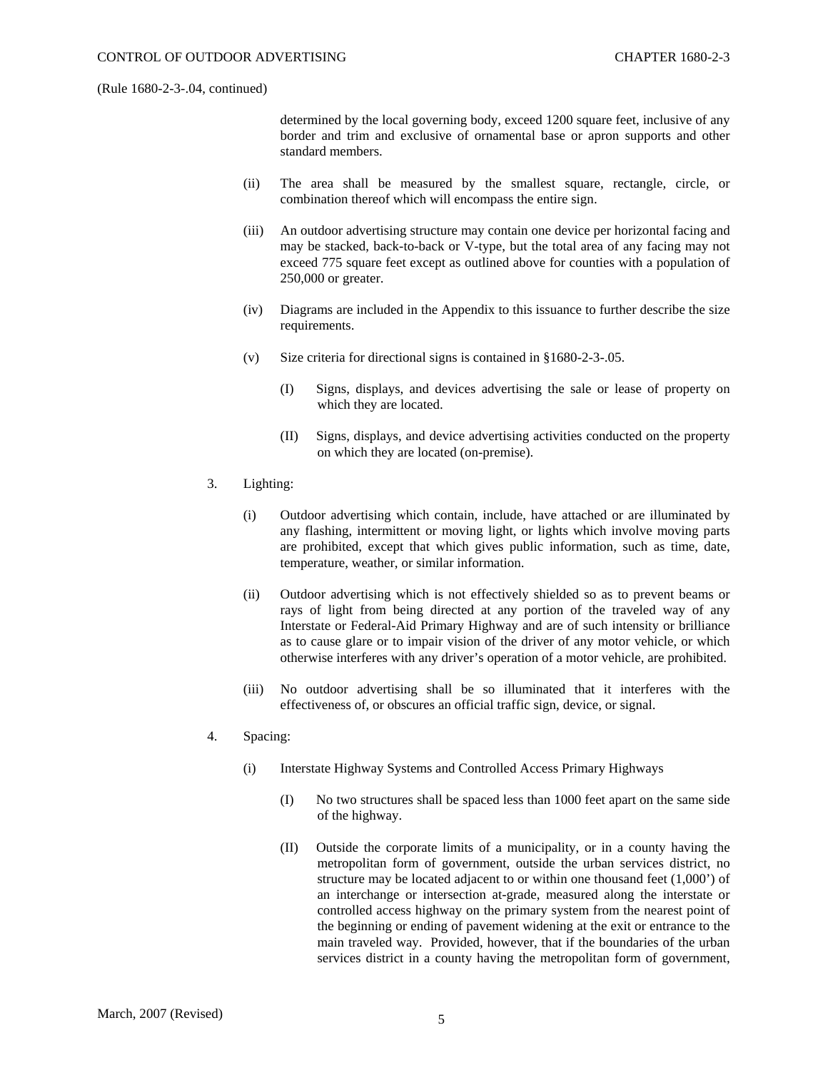determined by the local governing body, exceed 1200 square feet, inclusive of any border and trim and exclusive of ornamental base or apron supports and other standard members.

- (ii) The area shall be measured by the smallest square, rectangle, circle, or combination thereof which will encompass the entire sign.
- (iii) An outdoor advertising structure may contain one device per horizontal facing and may be stacked, back-to-back or V-type, but the total area of any facing may not exceed 775 square feet except as outlined above for counties with a population of 250,000 or greater.
- (iv) Diagrams are included in the Appendix to this issuance to further describe the size requirements.
- (v) Size criteria for directional signs is contained in §1680-2-3-.05.
	- (I) Signs, displays, and devices advertising the sale or lease of property on which they are located.
	- (II) Signs, displays, and device advertising activities conducted on the property on which they are located (on-premise).
- 3. Lighting:
	- (i) Outdoor advertising which contain, include, have attached or are illuminated by any flashing, intermittent or moving light, or lights which involve moving parts are prohibited, except that which gives public information, such as time, date, temperature, weather, or similar information.
	- (ii) Outdoor advertising which is not effectively shielded so as to prevent beams or rays of light from being directed at any portion of the traveled way of any Interstate or Federal-Aid Primary Highway and are of such intensity or brilliance as to cause glare or to impair vision of the driver of any motor vehicle, or which otherwise interferes with any driver's operation of a motor vehicle, are prohibited.
	- (iii) No outdoor advertising shall be so illuminated that it interferes with the effectiveness of, or obscures an official traffic sign, device, or signal.
- 4. Spacing:
	- (i) Interstate Highway Systems and Controlled Access Primary Highways
		- (I) No two structures shall be spaced less than 1000 feet apart on the same side of the highway.
		- (II) Outside the corporate limits of a municipality, or in a county having the metropolitan form of government, outside the urban services district, no structure may be located adjacent to or within one thousand feet (1,000') of an interchange or intersection at-grade, measured along the interstate or controlled access highway on the primary system from the nearest point of the beginning or ending of pavement widening at the exit or entrance to the main traveled way. Provided, however, that if the boundaries of the urban services district in a county having the metropolitan form of government,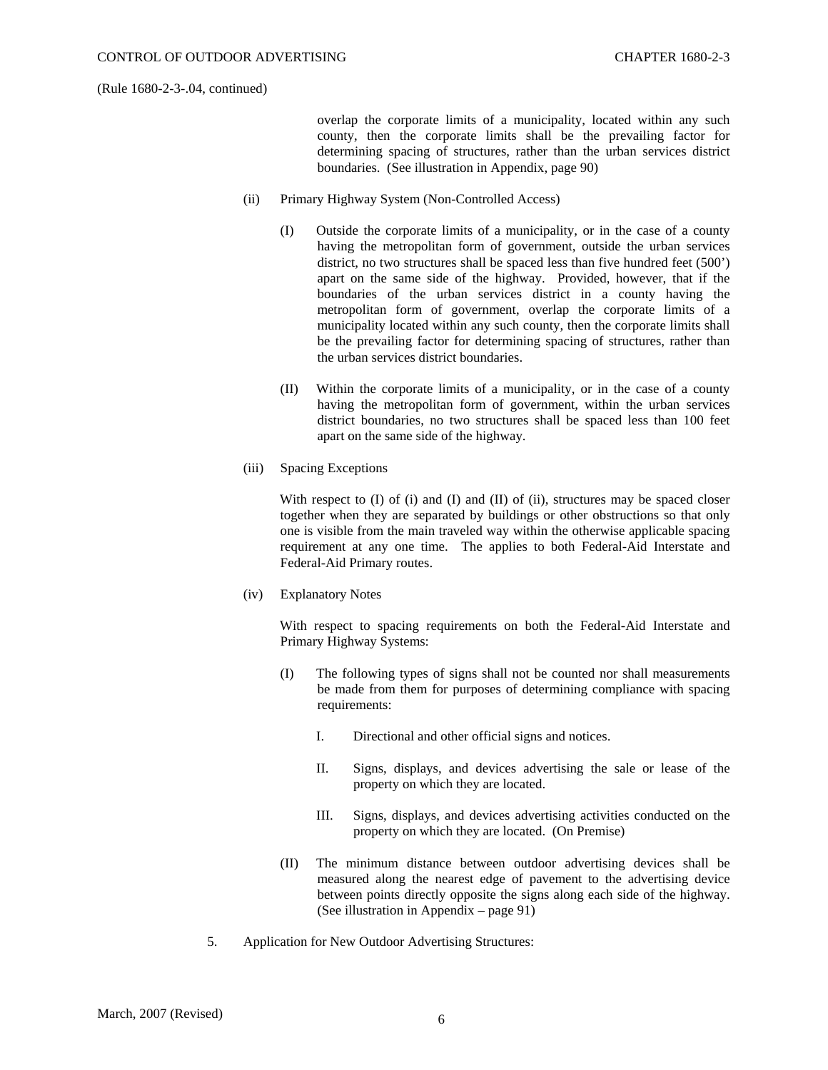overlap the corporate limits of a municipality, located within any such county, then the corporate limits shall be the prevailing factor for determining spacing of structures, rather than the urban services district boundaries. (See illustration in Appendix, page 90)

- (ii) Primary Highway System (Non-Controlled Access)
	- (I) Outside the corporate limits of a municipality, or in the case of a county having the metropolitan form of government, outside the urban services district, no two structures shall be spaced less than five hundred feet (500') apart on the same side of the highway. Provided, however, that if the boundaries of the urban services district in a county having the metropolitan form of government, overlap the corporate limits of a municipality located within any such county, then the corporate limits shall be the prevailing factor for determining spacing of structures, rather than the urban services district boundaries.
	- (II) Within the corporate limits of a municipality, or in the case of a county having the metropolitan form of government, within the urban services district boundaries, no two structures shall be spaced less than 100 feet apart on the same side of the highway.
- (iii) Spacing Exceptions

With respect to  $(I)$  of  $(i)$  and  $(I)$  and  $(II)$  of  $(ii)$ , structures may be spaced closer together when they are separated by buildings or other obstructions so that only one is visible from the main traveled way within the otherwise applicable spacing requirement at any one time. The applies to both Federal-Aid Interstate and Federal-Aid Primary routes.

(iv) Explanatory Notes

With respect to spacing requirements on both the Federal-Aid Interstate and Primary Highway Systems:

- (I) The following types of signs shall not be counted nor shall measurements be made from them for purposes of determining compliance with spacing requirements:
	- I. Directional and other official signs and notices.
	- II. Signs, displays, and devices advertising the sale or lease of the property on which they are located.
	- III. Signs, displays, and devices advertising activities conducted on the property on which they are located. (On Premise)
- (II) The minimum distance between outdoor advertising devices shall be measured along the nearest edge of pavement to the advertising device between points directly opposite the signs along each side of the highway. (See illustration in Appendix – page 91)
- 5. Application for New Outdoor Advertising Structures: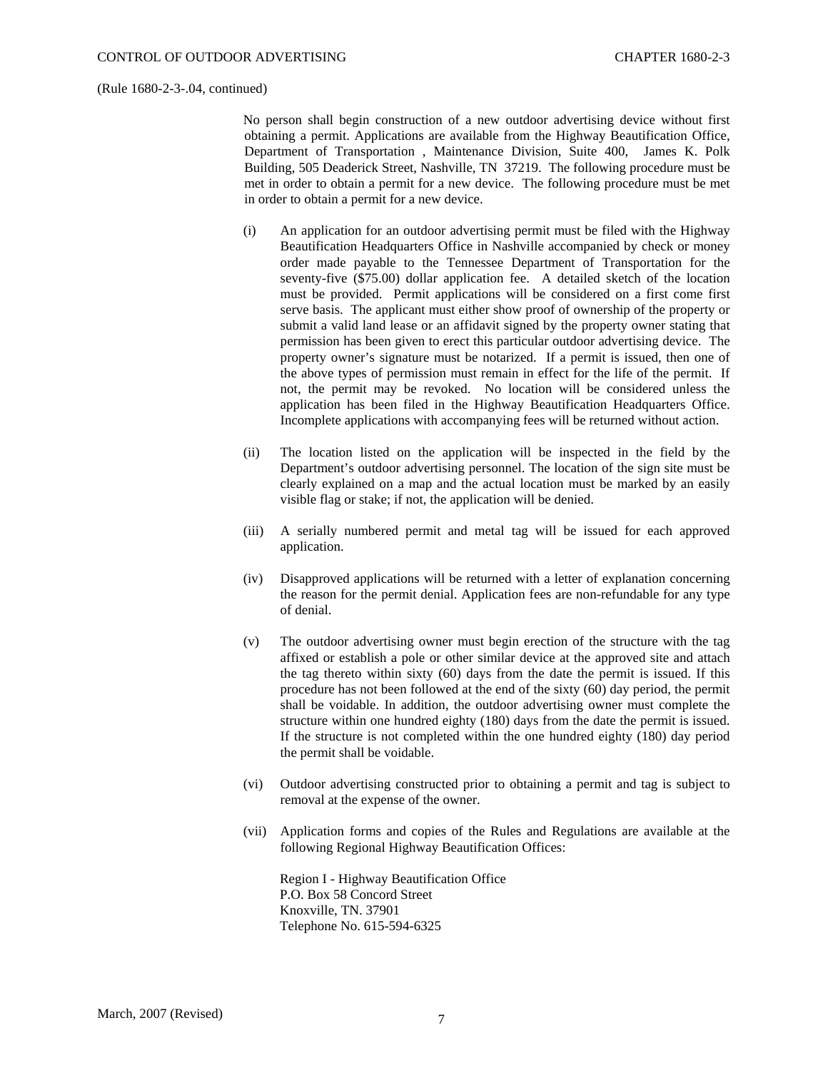No person shall begin construction of a new outdoor advertising device without first obtaining a permit. Applications are available from the Highway Beautification Office, Department of Transportation , Maintenance Division, Suite 400, James K. Polk Building, 505 Deaderick Street, Nashville, TN 37219. The following procedure must be met in order to obtain a permit for a new device. The following procedure must be met in order to obtain a permit for a new device.

- (i) An application for an outdoor advertising permit must be filed with the Highway Beautification Headquarters Office in Nashville accompanied by check or money order made payable to the Tennessee Department of Transportation for the seventy-five (\$75.00) dollar application fee. A detailed sketch of the location must be provided. Permit applications will be considered on a first come first serve basis. The applicant must either show proof of ownership of the property or submit a valid land lease or an affidavit signed by the property owner stating that permission has been given to erect this particular outdoor advertising device. The property owner's signature must be notarized. If a permit is issued, then one of the above types of permission must remain in effect for the life of the permit. If not, the permit may be revoked. No location will be considered unless the application has been filed in the Highway Beautification Headquarters Office. Incomplete applications with accompanying fees will be returned without action.
- (ii) The location listed on the application will be inspected in the field by the Department's outdoor advertising personnel. The location of the sign site must be clearly explained on a map and the actual location must be marked by an easily visible flag or stake; if not, the application will be denied.
- (iii) A serially numbered permit and metal tag will be issued for each approved application.
- (iv) Disapproved applications will be returned with a letter of explanation concerning the reason for the permit denial. Application fees are non-refundable for any type of denial.
- (v) The outdoor advertising owner must begin erection of the structure with the tag affixed or establish a pole or other similar device at the approved site and attach the tag thereto within sixty (60) days from the date the permit is issued. If this procedure has not been followed at the end of the sixty (60) day period, the permit shall be voidable. In addition, the outdoor advertising owner must complete the structure within one hundred eighty (180) days from the date the permit is issued. If the structure is not completed within the one hundred eighty (180) day period the permit shall be voidable.
- (vi) Outdoor advertising constructed prior to obtaining a permit and tag is subject to removal at the expense of the owner.
- (vii) Application forms and copies of the Rules and Regulations are available at the following Regional Highway Beautification Offices:

Region I - Highway Beautification Office P.O. Box 58 Concord Street Knoxville, TN. 37901 Telephone No. 615-594-6325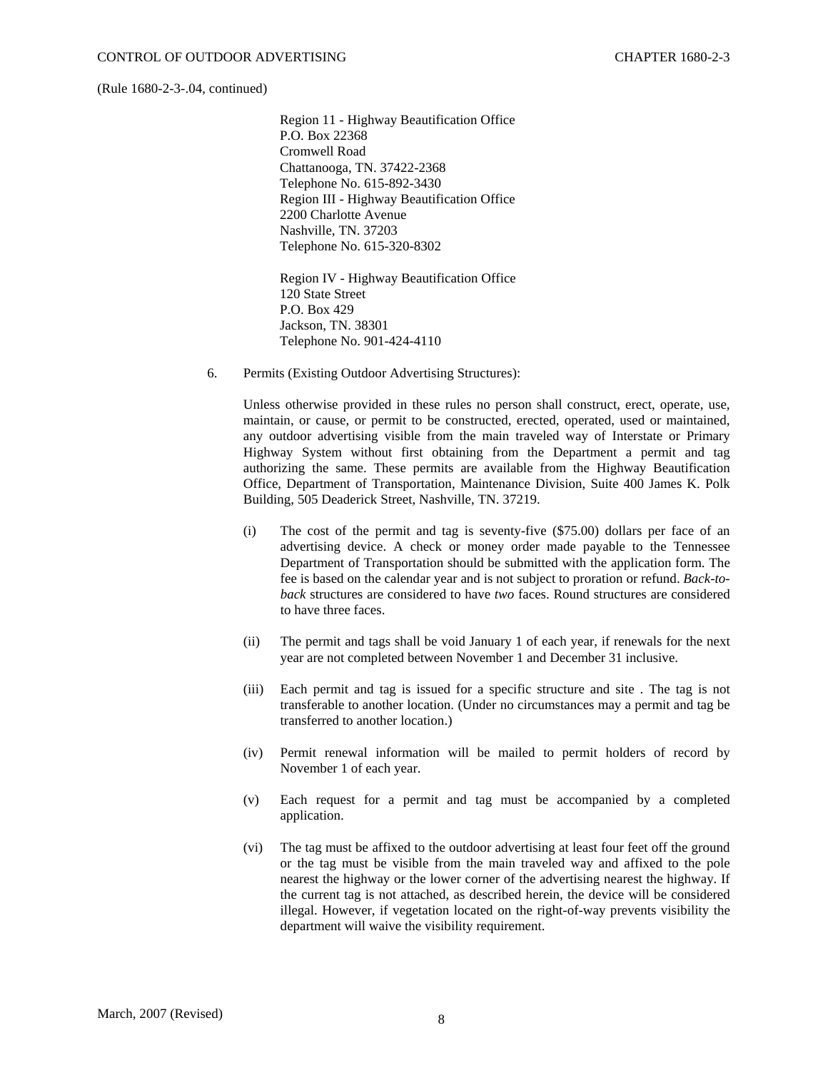Region 11 - Highway Beautification Office P.O. Box 22368 Cromwell Road Chattanooga, TN. 37422-2368 Telephone No. 615-892-3430 Region III - Highway Beautification Office 2200 Charlotte Avenue Nashville, TN. 37203 Telephone No. 615-320-8302

Region IV - Highway Beautification Office 120 State Street P.O. Box 429 Jackson, TN. 38301 Telephone No. 901-424-4110

6. Permits (Existing Outdoor Advertising Structures):

Unless otherwise provided in these rules no person shall construct, erect, operate, use, maintain, or cause, or permit to be constructed, erected, operated, used or maintained, any outdoor advertising visible from the main traveled way of Interstate or Primary Highway System without first obtaining from the Department a permit and tag authorizing the same. These permits are available from the Highway Beautification Office, Department of Transportation, Maintenance Division, Suite 400 James K. Polk Building, 505 Deaderick Street, Nashville, TN. 37219.

- (i) The cost of the permit and tag is seventy-five (\$75.00) dollars per face of an advertising device. A check or money order made payable to the Tennessee Department of Transportation should be submitted with the application form. The fee is based on the calendar year and is not subject to proration or refund. *Back-toback* structures are considered to have *two* faces. Round structures are considered to have three faces.
- (ii) The permit and tags shall be void January 1 of each year, if renewals for the next year are not completed between November 1 and December 31 inclusive.
- (iii) Each permit and tag is issued for a specific structure and site . The tag is not transferable to another location. (Under no circumstances may a permit and tag be transferred to another location.)
- (iv) Permit renewal information will be mailed to permit holders of record by November 1 of each year.
- (v) Each request for a permit and tag must be accompanied by a completed application.
- (vi) The tag must be affixed to the outdoor advertising at least four feet off the ground or the tag must be visible from the main traveled way and affixed to the pole nearest the highway or the lower corner of the advertising nearest the highway. If the current tag is not attached, as described herein, the device will be considered illegal. However, if vegetation located on the right-of-way prevents visibility the department will waive the visibility requirement.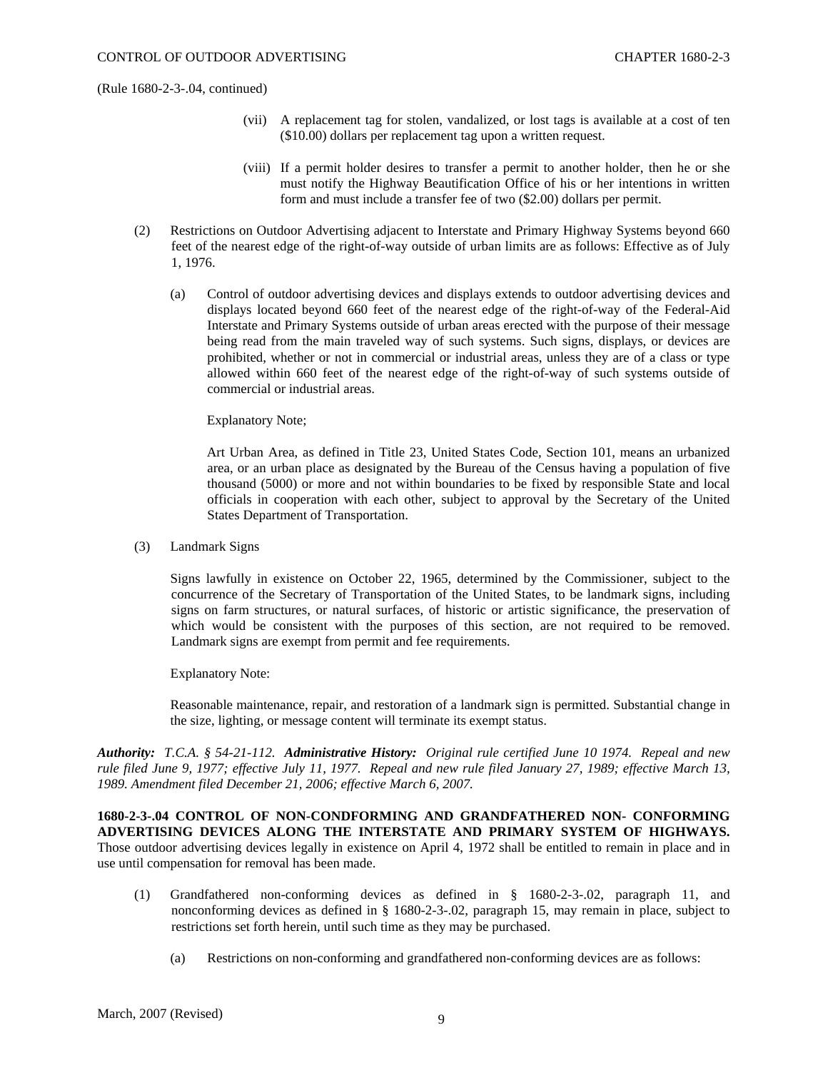- (vii) A replacement tag for stolen, vandalized, or lost tags is available at a cost of ten (\$10.00) dollars per replacement tag upon a written request.
- (viii) If a permit holder desires to transfer a permit to another holder, then he or she must notify the Highway Beautification Office of his or her intentions in written form and must include a transfer fee of two (\$2.00) dollars per permit.
- (2) Restrictions on Outdoor Advertising adjacent to Interstate and Primary Highway Systems beyond 660 feet of the nearest edge of the right-of-way outside of urban limits are as follows: Effective as of July 1, 1976.
	- (a) Control of outdoor advertising devices and displays extends to outdoor advertising devices and displays located beyond 660 feet of the nearest edge of the right-of-way of the Federal-Aid Interstate and Primary Systems outside of urban areas erected with the purpose of their message being read from the main traveled way of such systems. Such signs, displays, or devices are prohibited, whether or not in commercial or industrial areas, unless they are of a class or type allowed within 660 feet of the nearest edge of the right-of-way of such systems outside of commercial or industrial areas.

Explanatory Note;

Art Urban Area, as defined in Title 23, United States Code, Section 101, means an urbanized area, or an urban place as designated by the Bureau of the Census having a population of five thousand (5000) or more and not within boundaries to be fixed by responsible State and local officials in cooperation with each other, subject to approval by the Secretary of the United States Department of Transportation.

(3) Landmark Signs

Signs lawfully in existence on October 22, 1965, determined by the Commissioner, subject to the concurrence of the Secretary of Transportation of the United States, to be landmark signs, including signs on farm structures, or natural surfaces, of historic or artistic significance, the preservation of which would be consistent with the purposes of this section, are not required to be removed. Landmark signs are exempt from permit and fee requirements.

Explanatory Note:

Reasonable maintenance, repair, and restoration of a landmark sign is permitted. Substantial change in the size, lighting, or message content will terminate its exempt status.

*Authority: T.C.A. § 54-21-112. Administrative History: Original rule certified June 10 1974. Repeal and new rule filed June 9, 1977; effective July 11, 1977. Repeal and new rule filed January 27, 1989; effective March 13, 1989. Amendment filed December 21, 2006; effective March 6, 2007.* 

**1680-2-3-.04 CONTROL OF NON-CONDFORMING AND GRANDFATHERED NON- CONFORMING ADVERTISING DEVICES ALONG THE INTERSTATE AND PRIMARY SYSTEM OF HIGHWAYS.**  Those outdoor advertising devices legally in existence on April 4, 1972 shall be entitled to remain in place and in use until compensation for removal has been made.

- (1) Grandfathered non-conforming devices as defined in § 1680-2-3-.02, paragraph 11, and nonconforming devices as defined in § 1680-2-3-.02, paragraph 15, may remain in place, subject to restrictions set forth herein, until such time as they may be purchased.
	- (a) Restrictions on non-conforming and grandfathered non-conforming devices are as follows: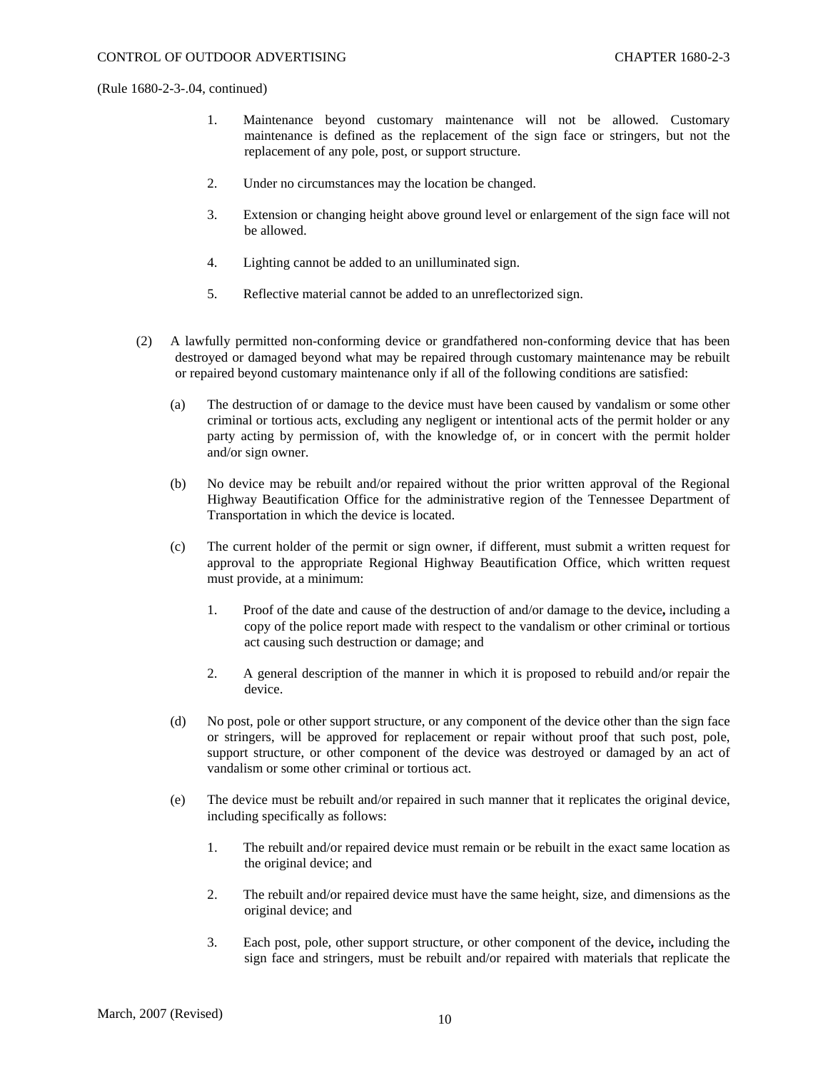- 1. Maintenance beyond customary maintenance will not be allowed. Customary maintenance is defined as the replacement of the sign face or stringers, but not the replacement of any pole, post, or support structure.
- 2. Under no circumstances may the location be changed.
- 3. Extension or changing height above ground level or enlargement of the sign face will not be allowed.
- 4. Lighting cannot be added to an unilluminated sign.
- 5. Reflective material cannot be added to an unreflectorized sign.
- (2) A lawfully permitted non-conforming device or grandfathered non-conforming device that has been destroyed or damaged beyond what may be repaired through customary maintenance may be rebuilt or repaired beyond customary maintenance only if all of the following conditions are satisfied:
	- (a) The destruction of or damage to the device must have been caused by vandalism or some other criminal or tortious acts, excluding any negligent or intentional acts of the permit holder or any party acting by permission of, with the knowledge of, or in concert with the permit holder and/or sign owner.
	- (b) No device may be rebuilt and/or repaired without the prior written approval of the Regional Highway Beautification Office for the administrative region of the Tennessee Department of Transportation in which the device is located.
	- (c) The current holder of the permit or sign owner, if different, must submit a written request for approval to the appropriate Regional Highway Beautification Office, which written request must provide, at a minimum:
		- 1. Proof of the date and cause of the destruction of and/or damage to the device**,** including a copy of the police report made with respect to the vandalism or other criminal or tortious act causing such destruction or damage; and
		- 2. A general description of the manner in which it is proposed to rebuild and/or repair the device.
	- (d) No post, pole or other support structure, or any component of the device other than the sign face or stringers, will be approved for replacement or repair without proof that such post, pole, support structure, or other component of the device was destroyed or damaged by an act of vandalism or some other criminal or tortious act.
	- (e) The device must be rebuilt and/or repaired in such manner that it replicates the original device, including specifically as follows:
		- 1. The rebuilt and/or repaired device must remain or be rebuilt in the exact same location as the original device; and
		- 2. The rebuilt and/or repaired device must have the same height, size, and dimensions as the original device; and
		- 3. Each post, pole, other support structure, or other component of the device**,** including the sign face and stringers, must be rebuilt and/or repaired with materials that replicate the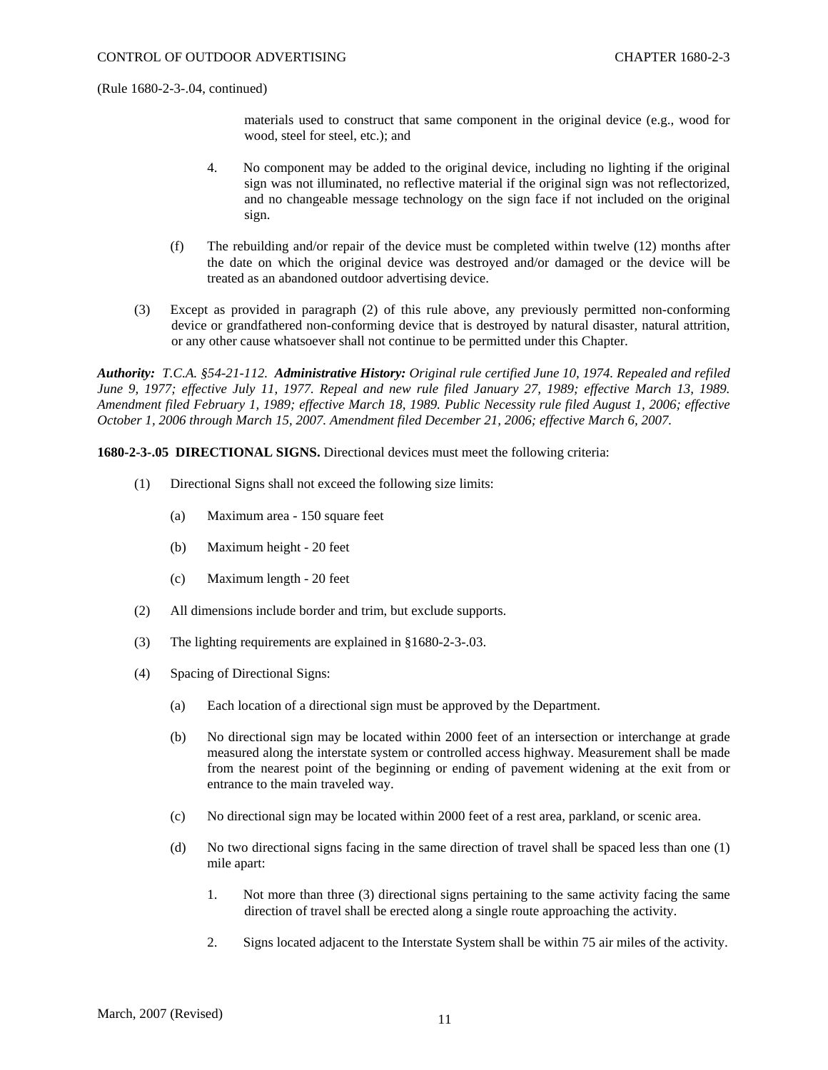materials used to construct that same component in the original device (e.g., wood for wood, steel for steel, etc.); and

- 4. No component may be added to the original device, including no lighting if the original sign was not illuminated, no reflective material if the original sign was not reflectorized, and no changeable message technology on the sign face if not included on the original sign.
- (f) The rebuilding and/or repair of the device must be completed within twelve (12) months after the date on which the original device was destroyed and/or damaged or the device will be treated as an abandoned outdoor advertising device.
- (3) Except as provided in paragraph (2) of this rule above, any previously permitted non-conforming device or grandfathered non-conforming device that is destroyed by natural disaster, natural attrition, or any other cause whatsoever shall not continue to be permitted under this Chapter.

*Authority: T.C.A. §54-21-112. Administrative History: Original rule certified June 10, 1974. Repealed and refiled June 9, 1977; effective July 11, 1977. Repeal and new rule filed January 27, 1989; effective March 13, 1989. Amendment filed February 1, 1989; effective March 18, 1989. Public Necessity rule filed August 1, 2006; effective October 1, 2006 through March 15, 2007. Amendment filed December 21, 2006; effective March 6, 2007.* 

**1680-2-3-.05 DIRECTIONAL SIGNS.** Directional devices must meet the following criteria:

- (1) Directional Signs shall not exceed the following size limits:
	- (a) Maximum area 150 square feet
	- (b) Maximum height 20 feet
	- (c) Maximum length 20 feet
- (2) All dimensions include border and trim, but exclude supports.
- (3) The lighting requirements are explained in §1680-2-3-.03.
- (4) Spacing of Directional Signs:
	- (a) Each location of a directional sign must be approved by the Department.
	- (b) No directional sign may be located within 2000 feet of an intersection or interchange at grade measured along the interstate system or controlled access highway. Measurement shall be made from the nearest point of the beginning or ending of pavement widening at the exit from or entrance to the main traveled way.
	- (c) No directional sign may be located within 2000 feet of a rest area, parkland, or scenic area.
	- (d) No two directional signs facing in the same direction of travel shall be spaced less than one (1) mile apart:
		- 1. Not more than three (3) directional signs pertaining to the same activity facing the same direction of travel shall be erected along a single route approaching the activity.
		- 2. Signs located adjacent to the Interstate System shall be within 75 air miles of the activity.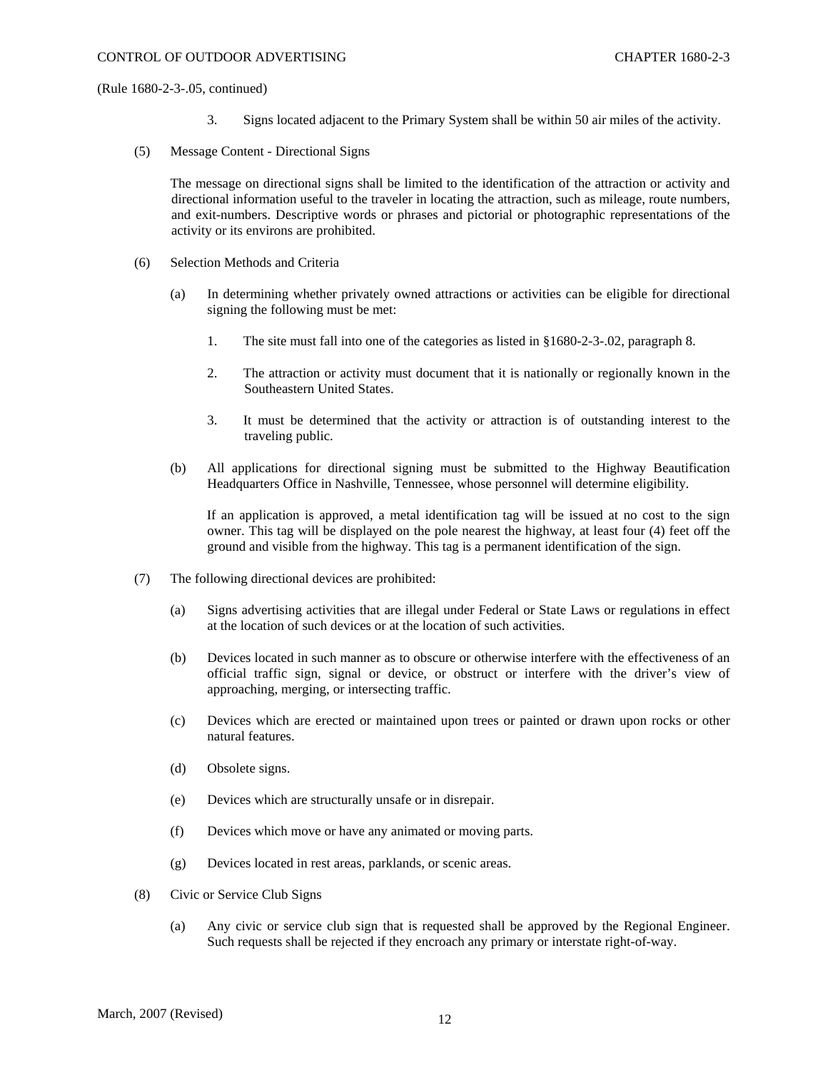- 3. Signs located adjacent to the Primary System shall be within 50 air miles of the activity.
- (5) Message Content Directional Signs

The message on directional signs shall be limited to the identification of the attraction or activity and directional information useful to the traveler in locating the attraction, such as mileage, route numbers, and exit-numbers. Descriptive words or phrases and pictorial or photographic representations of the activity or its environs are prohibited.

- (6) Selection Methods and Criteria
	- (a) In determining whether privately owned attractions or activities can be eligible for directional signing the following must be met:
		- 1. The site must fall into one of the categories as listed in §1680-2-3-.02, paragraph 8.
		- 2. The attraction or activity must document that it is nationally or regionally known in the Southeastern United States.
		- 3. It must be determined that the activity or attraction is of outstanding interest to the traveling public.
	- (b) All applications for directional signing must be submitted to the Highway Beautification Headquarters Office in Nashville, Tennessee, whose personnel will determine eligibility.

If an application is approved, a metal identification tag will be issued at no cost to the sign owner. This tag will be displayed on the pole nearest the highway, at least four (4) feet off the ground and visible from the highway. This tag is a permanent identification of the sign.

- (7) The following directional devices are prohibited:
	- (a) Signs advertising activities that are illegal under Federal or State Laws or regulations in effect at the location of such devices or at the location of such activities.
	- (b) Devices located in such manner as to obscure or otherwise interfere with the effectiveness of an official traffic sign, signal or device, or obstruct or interfere with the driver's view of approaching, merging, or intersecting traffic.
	- (c) Devices which are erected or maintained upon trees or painted or drawn upon rocks or other natural features.
	- (d) Obsolete signs.
	- (e) Devices which are structurally unsafe or in disrepair.
	- (f) Devices which move or have any animated or moving parts.
	- (g) Devices located in rest areas, parklands, or scenic areas.
- (8) Civic or Service Club Signs
	- (a) Any civic or service club sign that is requested shall be approved by the Regional Engineer. Such requests shall be rejected if they encroach any primary or interstate right-of-way.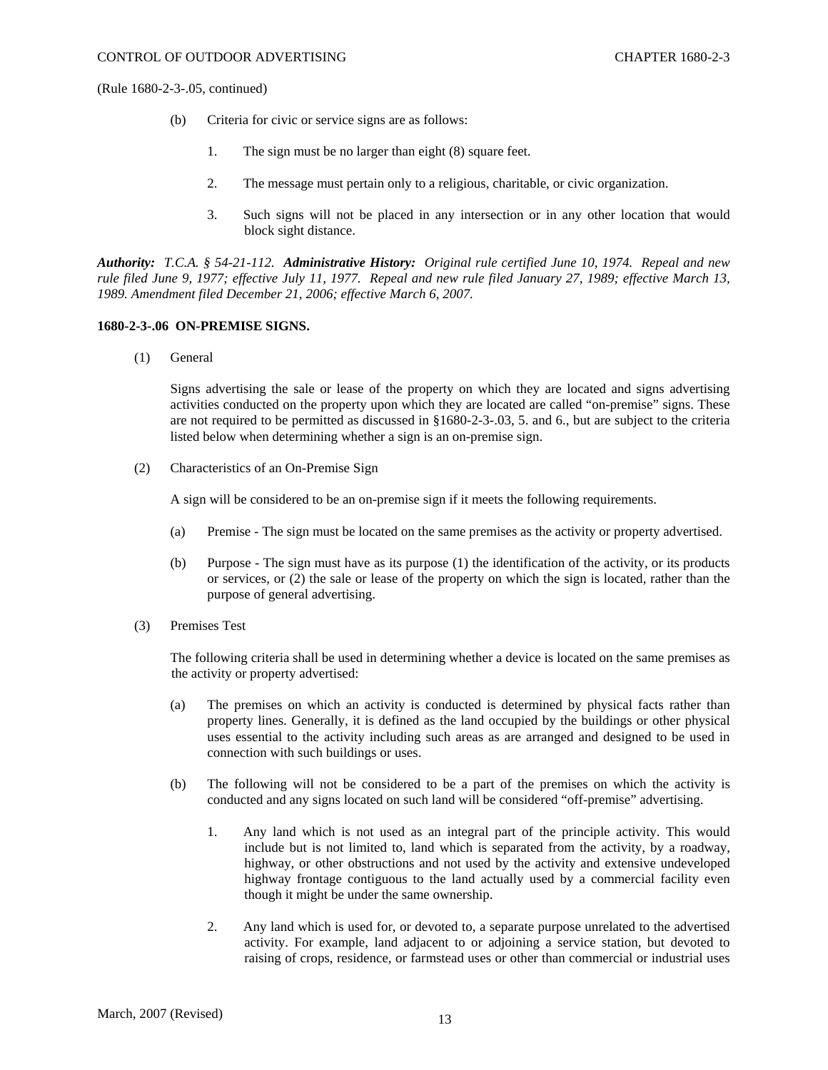- (b) Criteria for civic or service signs are as follows:
	- 1. The sign must be no larger than eight (8) square feet.
	- 2. The message must pertain only to a religious, charitable, or civic organization.
	- 3. Such signs will not be placed in any intersection or in any other location that would block sight distance.

*Authority: T.C.A. § 54-21-112. Administrative History: Original rule certified June 10, 1974. Repeal and new rule filed June 9, 1977; effective July 11, 1977. Repeal and new rule filed January 27, 1989; effective March 13, 1989. Amendment filed December 21, 2006; effective March 6, 2007.* 

# **1680-2-3-.06 ON-PREMISE SIGNS.**

(1) General

Signs advertising the sale or lease of the property on which they are located and signs advertising activities conducted on the property upon which they are located are called "on-premise" signs. These are not required to be permitted as discussed in §1680-2-3-.03, 5. and 6., but are subject to the criteria listed below when determining whether a sign is an on-premise sign.

(2) Characteristics of an On-Premise Sign

A sign will be considered to be an on-premise sign if it meets the following requirements.

- (a) Premise The sign must be located on the same premises as the activity or property advertised.
- (b) Purpose The sign must have as its purpose (1) the identification of the activity, or its products or services, or (2) the sale or lease of the property on which the sign is located, rather than the purpose of general advertising.
- (3) Premises Test

The following criteria shall be used in determining whether a device is located on the same premises as the activity or property advertised:

- (a) The premises on which an activity is conducted is determined by physical facts rather than property lines. Generally, it is defined as the land occupied by the buildings or other physical uses essential to the activity including such areas as are arranged and designed to be used in connection with such buildings or uses.
- (b) The following will not be considered to be a part of the premises on which the activity is conducted and any signs located on such land will be considered "off-premise" advertising.
	- 1. Any land which is not used as an integral part of the principle activity. This would include but is not limited to, land which is separated from the activity, by a roadway, highway, or other obstructions and not used by the activity and extensive undeveloped highway frontage contiguous to the land actually used by a commercial facility even though it might be under the same ownership.
	- 2. Any land which is used for, or devoted to, a separate purpose unrelated to the advertised activity. For example, land adjacent to or adjoining a service station, but devoted to raising of crops, residence, or farmstead uses or other than commercial or industrial uses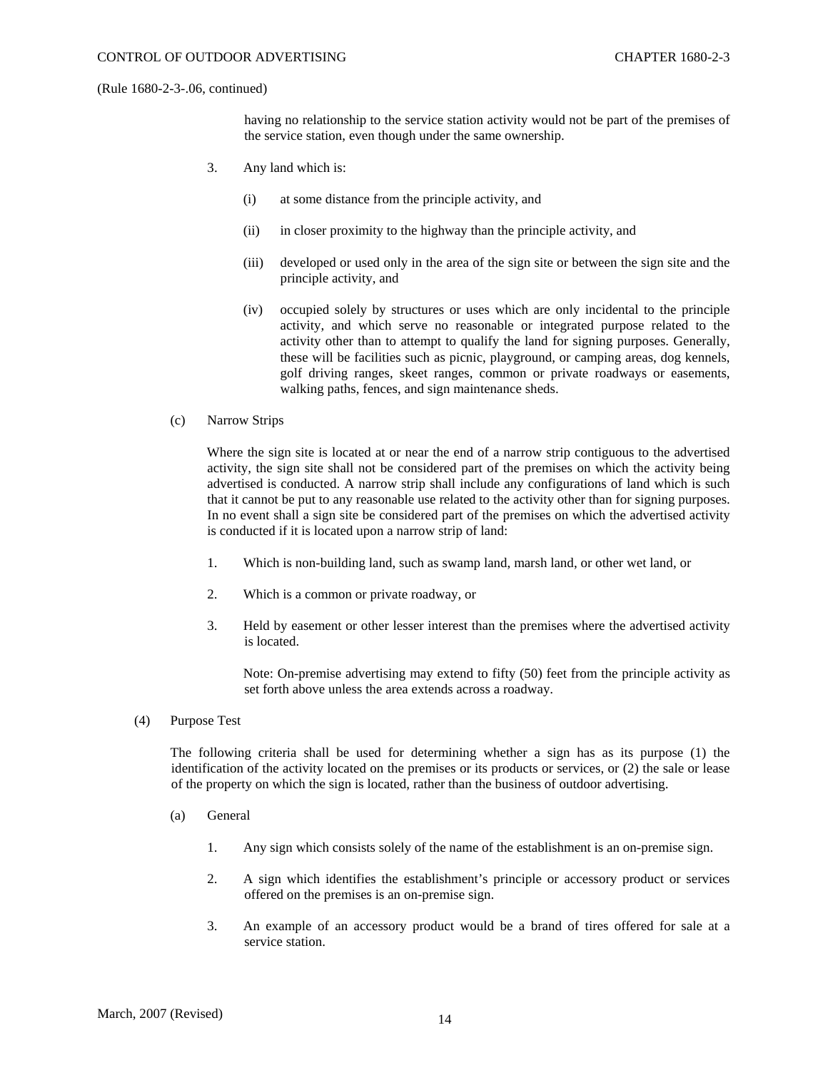having no relationship to the service station activity would not be part of the premises of the service station, even though under the same ownership.

- 3. Any land which is:
	- (i) at some distance from the principle activity, and
	- (ii) in closer proximity to the highway than the principle activity, and
	- (iii) developed or used only in the area of the sign site or between the sign site and the principle activity, and
	- (iv) occupied solely by structures or uses which are only incidental to the principle activity, and which serve no reasonable or integrated purpose related to the activity other than to attempt to qualify the land for signing purposes. Generally, these will be facilities such as picnic, playground, or camping areas, dog kennels, golf driving ranges, skeet ranges, common or private roadways or easements, walking paths, fences, and sign maintenance sheds.
- (c) Narrow Strips

Where the sign site is located at or near the end of a narrow strip contiguous to the advertised activity, the sign site shall not be considered part of the premises on which the activity being advertised is conducted. A narrow strip shall include any configurations of land which is such that it cannot be put to any reasonable use related to the activity other than for signing purposes. In no event shall a sign site be considered part of the premises on which the advertised activity is conducted if it is located upon a narrow strip of land:

- 1. Which is non-building land, such as swamp land, marsh land, or other wet land, or
- 2. Which is a common or private roadway, or
- 3. Held by easement or other lesser interest than the premises where the advertised activity is located.

Note: On-premise advertising may extend to fifty (50) feet from the principle activity as set forth above unless the area extends across a roadway.

(4) Purpose Test

The following criteria shall be used for determining whether a sign has as its purpose (1) the identification of the activity located on the premises or its products or services, or (2) the sale or lease of the property on which the sign is located, rather than the business of outdoor advertising.

- (a) General
	- 1. Any sign which consists solely of the name of the establishment is an on-premise sign.
	- 2. A sign which identifies the establishment's principle or accessory product or services offered on the premises is an on-premise sign.
	- 3. An example of an accessory product would be a brand of tires offered for sale at a service station.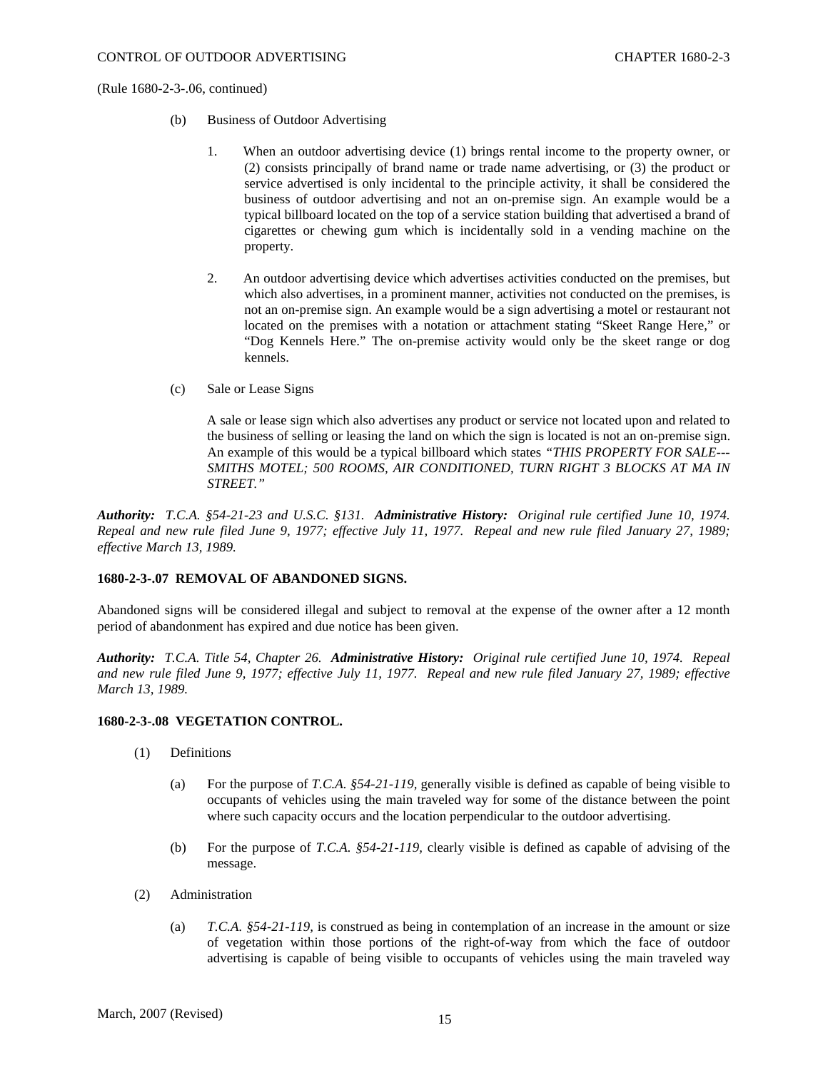- (b) Business of Outdoor Advertising
	- 1. When an outdoor advertising device (1) brings rental income to the property owner, or (2) consists principally of brand name or trade name advertising, or (3) the product or service advertised is only incidental to the principle activity, it shall be considered the business of outdoor advertising and not an on-premise sign. An example would be a typical billboard located on the top of a service station building that advertised a brand of cigarettes or chewing gum which is incidentally sold in a vending machine on the property.
	- 2. An outdoor advertising device which advertises activities conducted on the premises, but which also advertises, in a prominent manner, activities not conducted on the premises, is not an on-premise sign. An example would be a sign advertising a motel or restaurant not located on the premises with a notation or attachment stating "Skeet Range Here," or "Dog Kennels Here." The on-premise activity would only be the skeet range or dog kennels.
- (c) Sale or Lease Signs

A sale or lease sign which also advertises any product or service not located upon and related to the business of selling or leasing the land on which the sign is located is not an on-premise sign. An example of this would be a typical billboard which states *"THIS PROPERTY FOR SALE--- SMITHS MOTEL; 500 ROOMS, AIR CONDITIONED, TURN RIGHT 3 BLOCKS AT MA IN STREET."* 

*Authority: T.C.A. §54-21-23 and U.S.C. §131. Administrative History: Original rule certified June 10, 1974. Repeal and new rule filed June 9, 1977; effective July 11, 1977. Repeal and new rule filed January 27, 1989; effective March 13, 1989.* 

## **1680-2-3-.07 REMOVAL OF ABANDONED SIGNS.**

Abandoned signs will be considered illegal and subject to removal at the expense of the owner after a 12 month period of abandonment has expired and due notice has been given.

*Authority: T.C.A. Title 54, Chapter 26. Administrative History: Original rule certified June 10, 1974. Repeal and new rule filed June 9, 1977; effective July 11, 1977. Repeal and new rule filed January 27, 1989; effective March 13, 1989.* 

### **1680-2-3-.08 VEGETATION CONTROL.**

- (1) Definitions
	- (a) For the purpose of *T.C.A. §54-21-119,* generally visible is defined as capable of being visible to occupants of vehicles using the main traveled way for some of the distance between the point where such capacity occurs and the location perpendicular to the outdoor advertising.
	- (b) For the purpose of *T.C.A. §54-21-119,* clearly visible is defined as capable of advising of the message.
- (2) Administration
	- (a) *T.C.A. §54-21-119,* is construed as being in contemplation of an increase in the amount or size of vegetation within those portions of the right-of-way from which the face of outdoor advertising is capable of being visible to occupants of vehicles using the main traveled way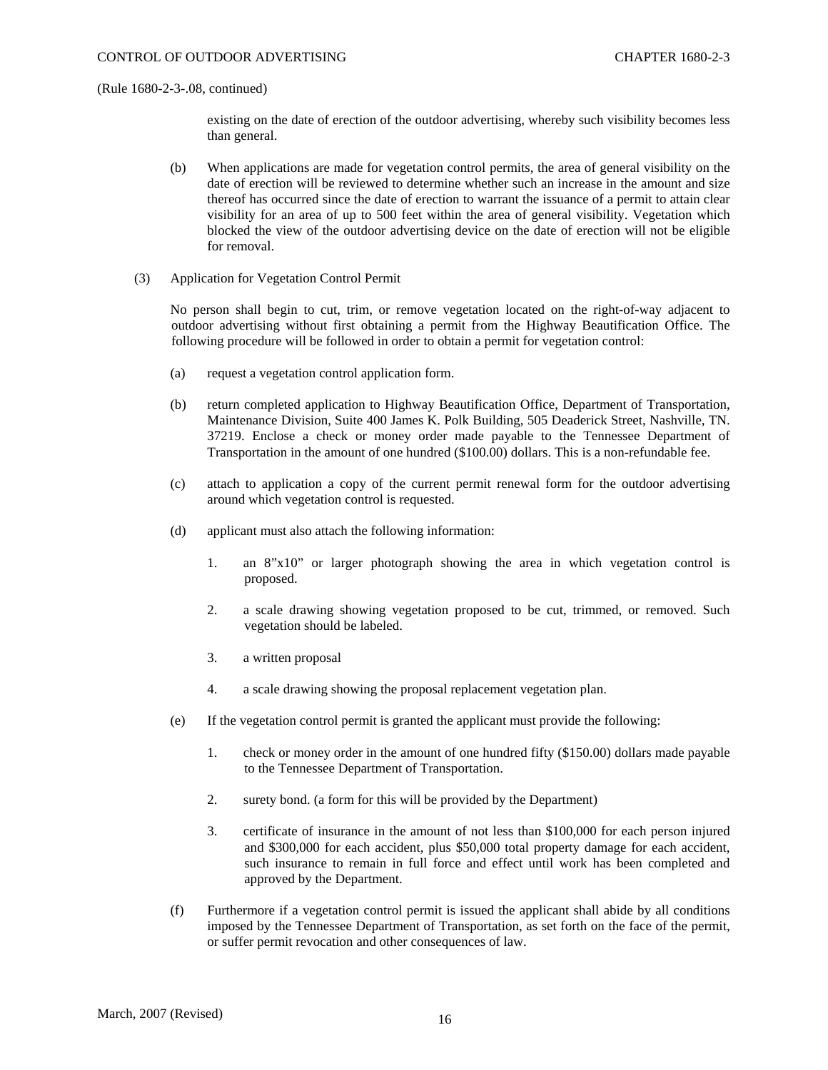existing on the date of erection of the outdoor advertising, whereby such visibility becomes less than general.

- (b) When applications are made for vegetation control permits, the area of general visibility on the date of erection will be reviewed to determine whether such an increase in the amount and size thereof has occurred since the date of erection to warrant the issuance of a permit to attain clear visibility for an area of up to 500 feet within the area of general visibility. Vegetation which blocked the view of the outdoor advertising device on the date of erection will not be eligible for removal.
- (3) Application for Vegetation Control Permit

No person shall begin to cut, trim, or remove vegetation located on the right-of-way adjacent to outdoor advertising without first obtaining a permit from the Highway Beautification Office. The following procedure will be followed in order to obtain a permit for vegetation control:

- (a) request a vegetation control application form.
- (b) return completed application to Highway Beautification Office, Department of Transportation, Maintenance Division, Suite 400 James K. Polk Building, 505 Deaderick Street, Nashville, TN. 37219. Enclose a check or money order made payable to the Tennessee Department of Transportation in the amount of one hundred (\$100.00) dollars. This is a non-refundable fee.
- (c) attach to application a copy of the current permit renewal form for the outdoor advertising around which vegetation control is requested.
- (d) applicant must also attach the following information:
	- 1. an 8"x10" or larger photograph showing the area in which vegetation control is proposed.
	- 2. a scale drawing showing vegetation proposed to be cut, trimmed, or removed. Such vegetation should be labeled.
	- 3. a written proposal
	- 4. a scale drawing showing the proposal replacement vegetation plan.
- (e) If the vegetation control permit is granted the applicant must provide the following:
	- 1. check or money order in the amount of one hundred fifty (\$150.00) dollars made payable to the Tennessee Department of Transportation.
	- 2. surety bond. (a form for this will be provided by the Department)
	- 3. certificate of insurance in the amount of not less than \$100,000 for each person injured and \$300,000 for each accident, plus \$50,000 total property damage for each accident, such insurance to remain in full force and effect until work has been completed and approved by the Department.
- (f) Furthermore if a vegetation control permit is issued the applicant shall abide by all conditions imposed by the Tennessee Department of Transportation, as set forth on the face of the permit, or suffer permit revocation and other consequences of law.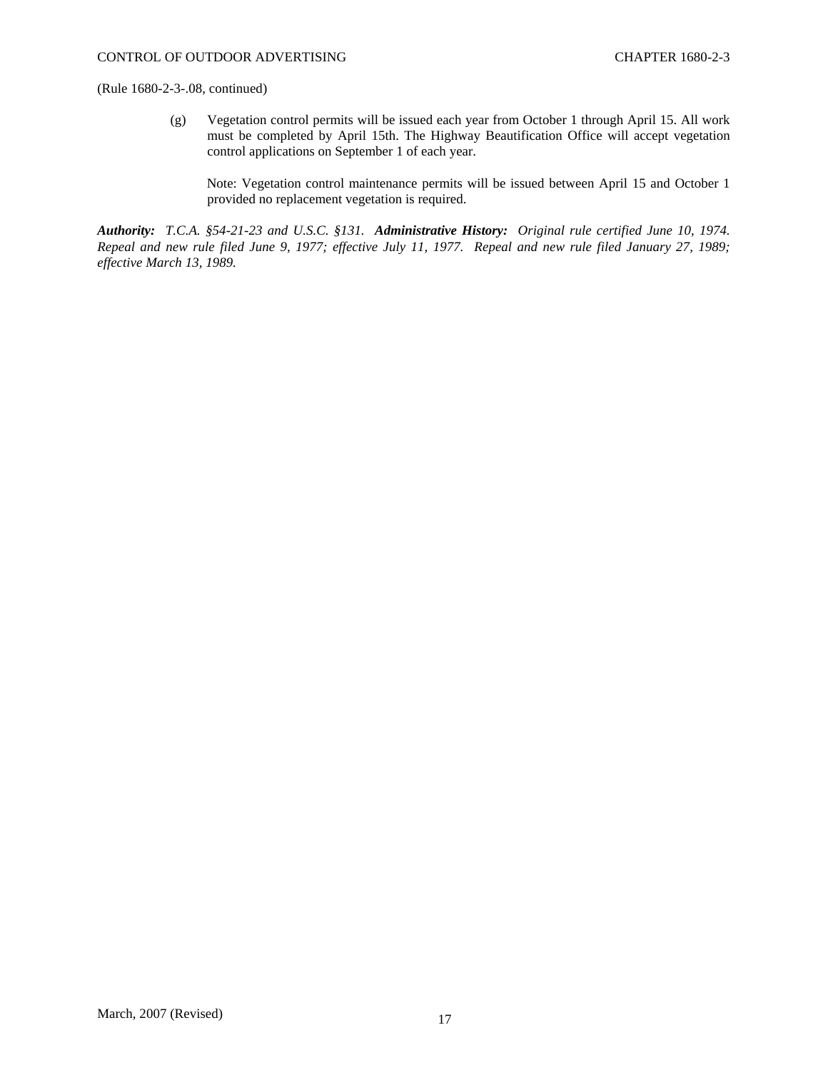(g) Vegetation control permits will be issued each year from October 1 through April 15. All work must be completed by April 15th. The Highway Beautification Office will accept vegetation control applications on September 1 of each year.

Note: Vegetation control maintenance permits will be issued between April 15 and October 1 provided no replacement vegetation is required.

*Authority: T.C.A. §54-21-23 and U.S.C. §131. Administrative History: Original rule certified June 10, 1974. Repeal and new rule filed June 9, 1977; effective July 11, 1977. Repeal and new rule filed January 27, 1989; effective March 13, 1989.*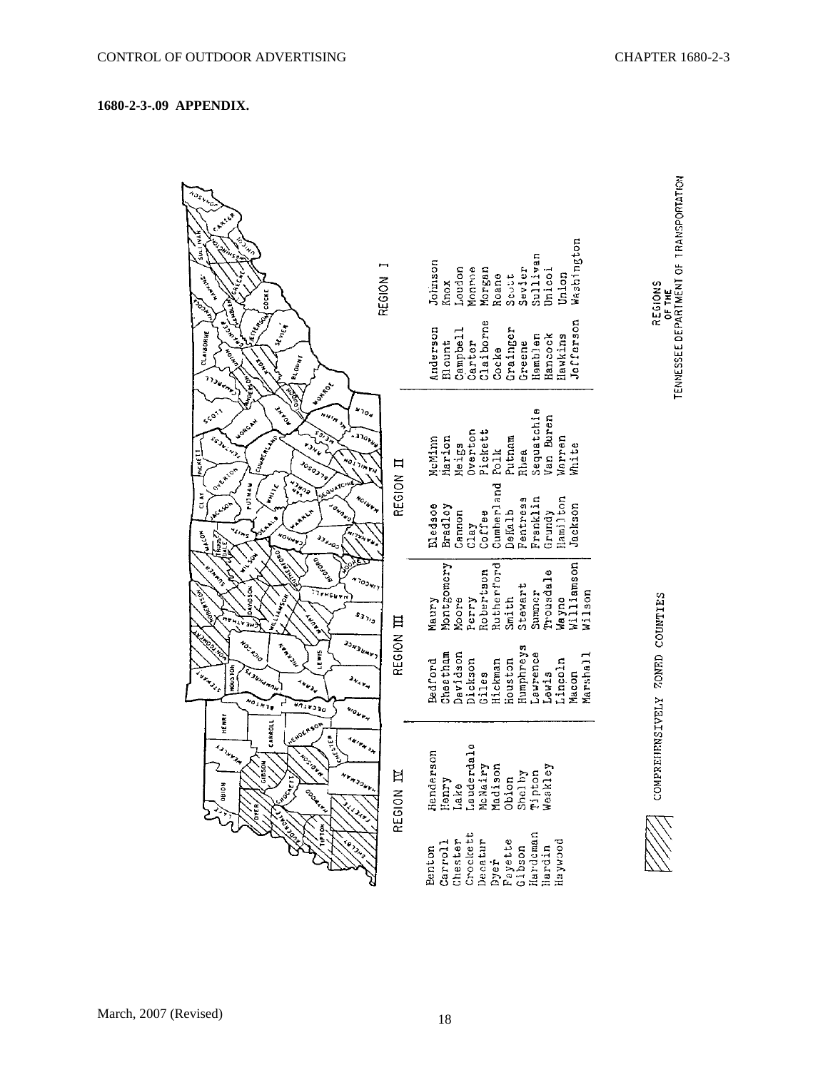# **1680-2-3-.09 APPENDIX.**

| NOSWNC.<br>CARTER<br><b>HANT TOOS</b><br>A PAINTS OF<br>$S_{\mu_{\eta}}$<br>Change R<br>$\mathfrak{s}_i$<br>COCKE                                                                                                                                                  | REGION                                                                  | Washington<br>Sullivan<br>Johnson<br>Loudon<br>Monroe<br>Morgan<br>Sevier<br>Unicoi<br>Union<br>Roane<br><b>Scutt</b><br>Knox                   | TENNESSEE DEPARTMENT OF TRANSPORTATION<br>REGIONS<br>OF THE |
|--------------------------------------------------------------------------------------------------------------------------------------------------------------------------------------------------------------------------------------------------------------------|-------------------------------------------------------------------------|-------------------------------------------------------------------------------------------------------------------------------------------------|-------------------------------------------------------------|
| <b>HEATHER</b><br>London<br>JEFFER DE<br>Lundration<br>St Ville 4<br>CLAIBORNE<br>ACTES<br>$1$ <sup>8</sup> $\epsilon$ $\sigma_{\nu_{\bm{M}}}$<br>to<br>The<br>1130ams<br><b>MOERS OF</b><br>Water.                                                                |                                                                         | Jefferson<br>Claiborne<br>Grainger<br>Anderson<br>Campbell<br>Hancock<br>Hemblen<br>Hawkins<br>Carter<br>Greene<br>Blount<br>Cocke              |                                                             |
| <b>RIGINAL</b><br>ARAN<br><b>SCOTT</b><br><b>HMIN</b><br><b>LORGAL</b><br>ICUMBERLAN<br>SS-ARTIST<br>단<br>$\begin{pmatrix} 1 & 1 & 1 \\ 0 & 1 & 1 \end{pmatrix}$<br>Josophy<br>Oxfator                                                                             | $v_{0g}$<br>$\mathbf{D}_{\mathcal{G}_{\mathcal{V}_{\mathcal{G}}}}$<br>Ħ | Sequatchie<br>Van Buren<br>Overton<br>Pickett<br>Marion<br>Putnam<br>uarren<br>McMinn<br>Meigs<br>White<br>Polk<br>Rhea                         |                                                             |
| きょうしょ<br>scaustc<br><b>Willie</b><br>CLAY<br>نومي<br><b>ONDE</b><br><b>ARLA</b><br>$\mathcal{L}_{\mathcal{L}_{\mathcal{P}_{\mathcal{S}}}}$<br><b>COART</b><br>$\overline{C}$<br>o <sub>ver</sub><br><b>J</b> <sub>Jugo</sub><br>ga LE.                             | REGION<br><b>YOINKAN</b>                                                | Cumberland<br>Hamilton<br>Franklin<br>Pentress<br>Jackson<br>Eledsoe<br>Bradloy<br>Grundy<br>DeKalb<br>Coffee<br>Cannon<br>Clay                 |                                                             |
| A ORD ASHALL<br>Become<br><b>EXAMPLE</b><br><b>DAVIDSON</b><br>FOBERTSON<br>$\frac{1}{\sqrt{1+\log n}}$<br>144504<br>run Ch<br>'n,<br>ŝ                                                                                                                            | $v_{\phi_{\lambda_{\nu}}}$<br>$s_{3\gamma_{\mathfrak{g}}}$              | Wayno<br>Williamson<br>Montgomery<br>Rutherford<br>Robertson<br>Prousdale<br>Stewart<br>Summer<br>$W11$ son<br>Smith<br>Perry<br>Moore<br>Maury |                                                             |
| <b>Le Thomas</b><br><b>JONEWAY</b><br>Nov 1010<br>Articles<br>Livis<br><b>HOUSTON</b><br>SI 38Hd H AH<br>Lake Le<br>$\mathbf{v}_{\mathbf{q},\mathbf{p}_{\mathbf{q}}}$<br>$u_{t,j}$<br>$\overline{a_{\ell_{k_{\gamma}}}}$<br><b>AUTARD 30</b><br>$w_0$ or $w_{\mu}$ | REGION III                                                              | Humphreys<br>Cheatham<br>Davidson<br>Laurence<br>Marshall<br>Dickson<br>Giles<br>Houston<br>Bedford<br>Hickman<br>Lincoln<br>Lewis<br>Macon     | ZONED COUNTIES                                              |
| HENRY<br>CARROLL<br>neworkson<br>usi <sup>tes</sup><br>447643<br>A Maritim<br><b>MUSICAN</b><br><b>BS0N</b><br>÷,<br><b>OHION</b><br><b>Ageleri</b><br>CONSTANTING<br>31 Art 24 p.)                                                                                | Ħ<br>$r_{3}$<br>REGION .                                                | rdale<br>rson<br>Lauderds<br>McMairy<br>Madison<br>Madison<br>Obion<br>Shelby<br>Tipton<br>Meskley<br>$\mathfrak{S}$<br>Hende<br>Henry<br>Lake  | COMPREIENSIVELY                                             |
| L. Luciens<br>TIPTON<br><b>Le July</b>                                                                                                                                                                                                                             |                                                                         | Crockett<br>Hardeman<br>Chester<br>Decatur<br>Byer<br>Fayette<br>Gibson<br>poomfap<br>Carroll<br>Hardin<br>Benton                               |                                                             |

March, 2007 (Revised) 18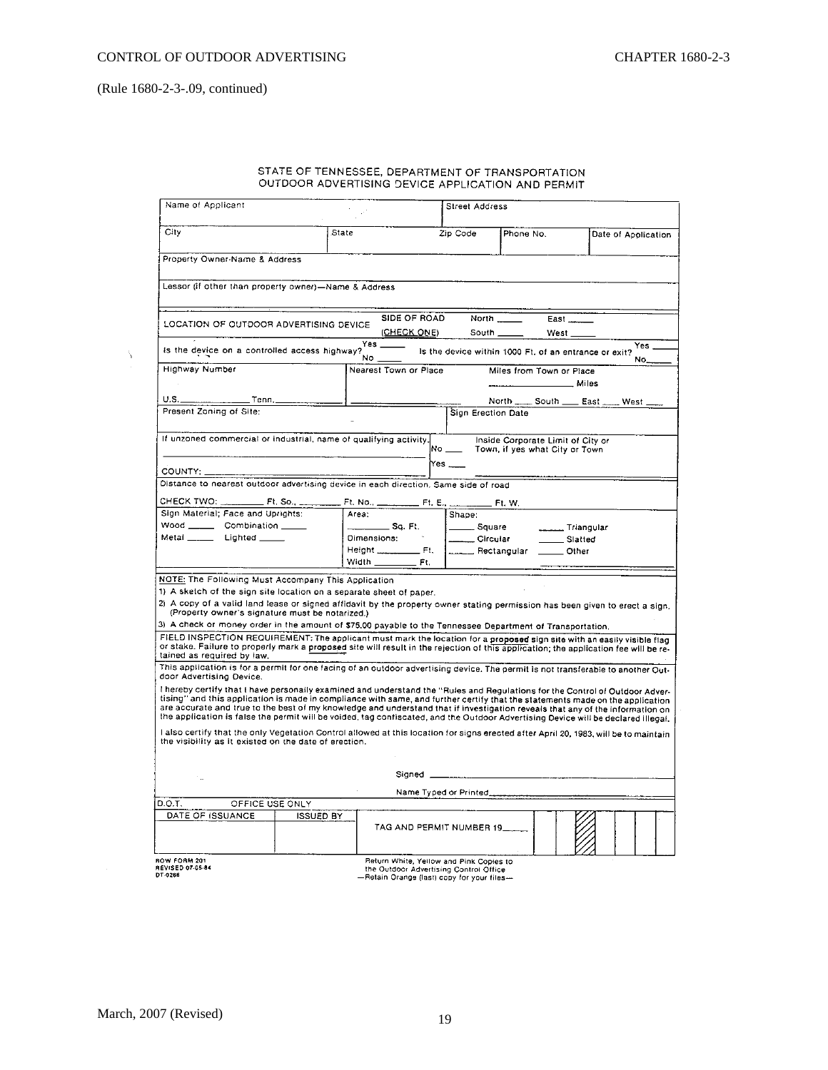| STATE OF TENNESSEE, DEPARTMENT OF TRANSPORTATION  |
|---------------------------------------------------|
|                                                   |
| OUTDOOR ADVERTISING DEVICE APPLICATION AND PERMIT |
|                                                   |

|                                                                                                                                                                                                                                                                                                                                                                                                |                  | Street Address              |                                         |                                                                     |                     |  |  |  |
|------------------------------------------------------------------------------------------------------------------------------------------------------------------------------------------------------------------------------------------------------------------------------------------------------------------------------------------------------------------------------------------------|------------------|-----------------------------|-----------------------------------------|---------------------------------------------------------------------|---------------------|--|--|--|
| City                                                                                                                                                                                                                                                                                                                                                                                           | State            |                             | Zip Code<br>Phone No.                   |                                                                     | Date of Application |  |  |  |
| Property Owner-Name & Address                                                                                                                                                                                                                                                                                                                                                                  |                  |                             |                                         |                                                                     |                     |  |  |  |
| Lessor (if other than property owner)-Name & Address                                                                                                                                                                                                                                                                                                                                           |                  |                             |                                         |                                                                     |                     |  |  |  |
|                                                                                                                                                                                                                                                                                                                                                                                                |                  |                             |                                         |                                                                     |                     |  |  |  |
| LOCATION OF OUTDOOR ADVERTISING DEVICE                                                                                                                                                                                                                                                                                                                                                         |                  | SIDE OF ROAD<br>(CHECK ONE) | North<br>South __                       | East $\frac{1}{2}$<br>West_                                         |                     |  |  |  |
| Yes __<br>Yes.<br>is the device on a controlled access highway?<br>Is the device within 1000 Ft. of an entrance or exit?<br>No.<br>No.                                                                                                                                                                                                                                                         |                  |                             |                                         |                                                                     |                     |  |  |  |
| <b>Highway Number</b>                                                                                                                                                                                                                                                                                                                                                                          |                  | Nearest Town or Place       |                                         | Miles from Town or Place                                            |                     |  |  |  |
| _ Tenn. ___________<br>U.S.                                                                                                                                                                                                                                                                                                                                                                    |                  |                             |                                         | North ______ South ______ East                                      | West                |  |  |  |
| Present Zoning of Site:                                                                                                                                                                                                                                                                                                                                                                        |                  |                             | Sign Erection Date                      |                                                                     |                     |  |  |  |
| If unzoned commercial or industrial, name of qualifying activity,                                                                                                                                                                                                                                                                                                                              |                  | No _                        |                                         | Inside Corporate Limit of City or<br>Town, if yes what City or Town |                     |  |  |  |
|                                                                                                                                                                                                                                                                                                                                                                                                |                  | Yes ___                     |                                         |                                                                     |                     |  |  |  |
| COUNTY: _____<br>Distance to nearest outdoor advertising device in each direction. Same side of road                                                                                                                                                                                                                                                                                           |                  |                             |                                         |                                                                     |                     |  |  |  |
|                                                                                                                                                                                                                                                                                                                                                                                                |                  |                             |                                         |                                                                     |                     |  |  |  |
|                                                                                                                                                                                                                                                                                                                                                                                                | $Ft. No., \_\_$  | . Ft. E .                   | Ft. W.                                  |                                                                     |                     |  |  |  |
| Sign Material; Face and Uprights:                                                                                                                                                                                                                                                                                                                                                              | Area:            |                             | Shape:                                  |                                                                     |                     |  |  |  |
| Wood _________ Combination ______                                                                                                                                                                                                                                                                                                                                                              |                  | __ Sq. Ft.                  | Square                                  | Triangular                                                          |                     |  |  |  |
| Metal ________ Lighted ______                                                                                                                                                                                                                                                                                                                                                                  | Dimensions:      |                             | _____ Circular                          | Slatted                                                             |                     |  |  |  |
|                                                                                                                                                                                                                                                                                                                                                                                                | Height _____     | $E = \mathsf{F}$ t.         | ____ Rectangular ______ Other           |                                                                     |                     |  |  |  |
|                                                                                                                                                                                                                                                                                                                                                                                                | Width __         | Ft.                         |                                         |                                                                     |                     |  |  |  |
| NOTE: The Following Must Accompany This Application                                                                                                                                                                                                                                                                                                                                            |                  |                             |                                         |                                                                     |                     |  |  |  |
| 1) A sketch of the sign site location on a separate sheet of paper.                                                                                                                                                                                                                                                                                                                            |                  |                             |                                         |                                                                     |                     |  |  |  |
| 2) A copy of a valid land lease or signed affidavit by the property owner stating permission has been given to erect a sign.                                                                                                                                                                                                                                                                   |                  |                             |                                         |                                                                     |                     |  |  |  |
| (Property owner's signature must be notarized.)<br>3) A check or money order in the amount of \$75.00 payable to the Tennessee Department of Transportation.                                                                                                                                                                                                                                   |                  |                             |                                         |                                                                     |                     |  |  |  |
| FIELD INSPECTION REQUIREMENT: The applicant must mark the location for a proposed sign site with an easily visible flag                                                                                                                                                                                                                                                                        |                  |                             |                                         |                                                                     |                     |  |  |  |
| or stake. Failure to properly mark a proposed site will result in the rejection of this application; the application fee will be re-                                                                                                                                                                                                                                                           |                  |                             |                                         |                                                                     |                     |  |  |  |
| tained as required by law.                                                                                                                                                                                                                                                                                                                                                                     |                  |                             |                                         |                                                                     |                     |  |  |  |
| This application is for a permit for one facing of an outdoor advertising device. The permit is not transferable to another Out-<br>door Advertising Device.                                                                                                                                                                                                                                   |                  |                             |                                         |                                                                     |                     |  |  |  |
| I hereby certify that I have personally examined and understand the "Rules and Regulations for the Control of Outdoor Adver-<br>tising" and this application is made in compliance with same, and further certify that the statements made on the application<br>are accurate and true to the best of my knowledge and understand that if investigation reveals that any of the information on |                  |                             |                                         |                                                                     |                     |  |  |  |
| the application is false the permit will be voided, tag confiscated, and the Outdoor Advertising Device will be declared illegal.<br>I also certify that the only Vegetation Control allowed at this location for signs erected after April 20, 1983, will be to maintain<br>the visibility as it existed on the date of erection.                                                             |                  |                             |                                         |                                                                     |                     |  |  |  |
|                                                                                                                                                                                                                                                                                                                                                                                                |                  |                             |                                         |                                                                     |                     |  |  |  |
|                                                                                                                                                                                                                                                                                                                                                                                                |                  | Signed _                    |                                         |                                                                     |                     |  |  |  |
|                                                                                                                                                                                                                                                                                                                                                                                                |                  |                             |                                         |                                                                     |                     |  |  |  |
| D.O.T.<br>OFFICE USE ONLY                                                                                                                                                                                                                                                                                                                                                                      |                  |                             |                                         |                                                                     |                     |  |  |  |
| DATE OF ISSUANCE                                                                                                                                                                                                                                                                                                                                                                               | <b>ISSUED BY</b> |                             | TAG AND PERMIT NUMBER 19.               |                                                                     |                     |  |  |  |
| ROW FORM 201                                                                                                                                                                                                                                                                                                                                                                                   |                  |                             | Return White, Yellow and Pink Copies to |                                                                     |                     |  |  |  |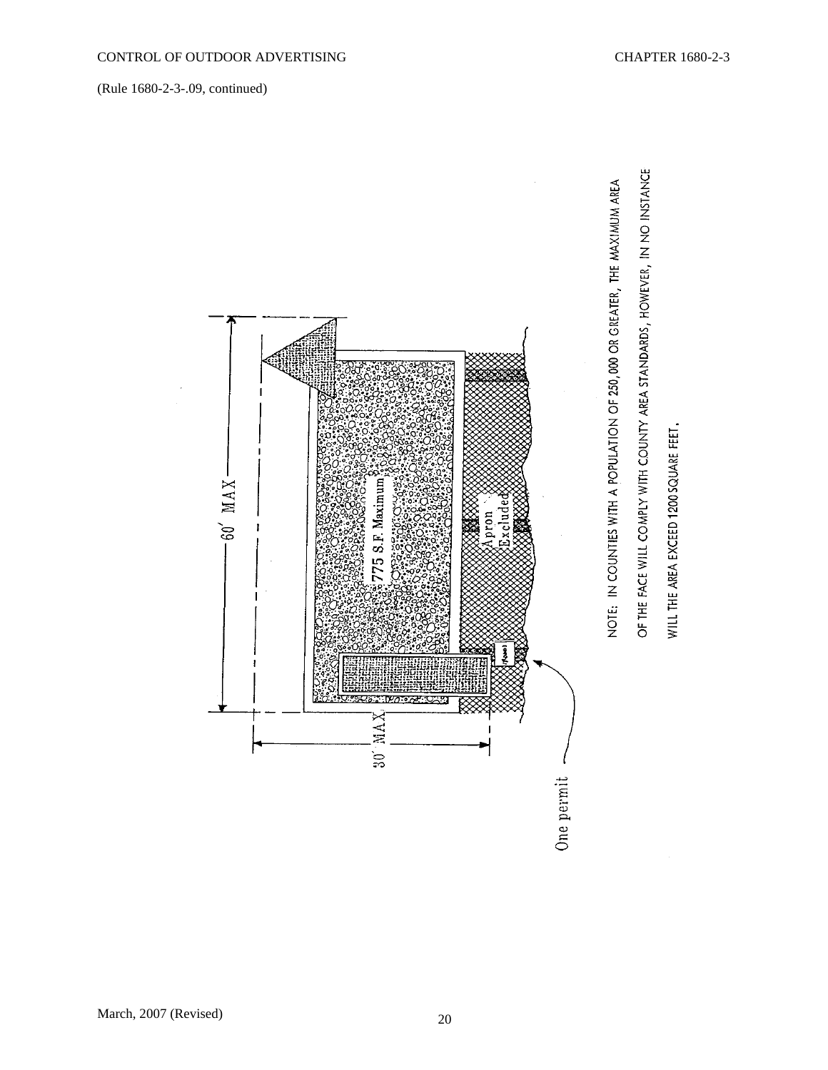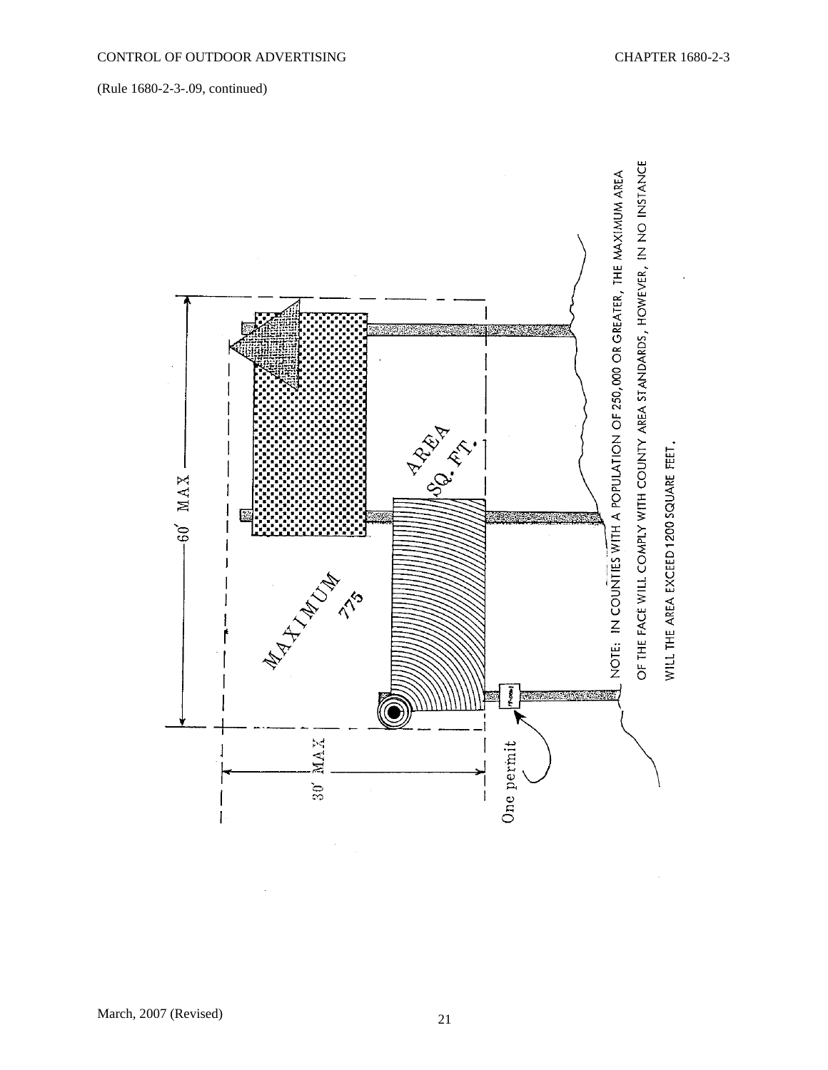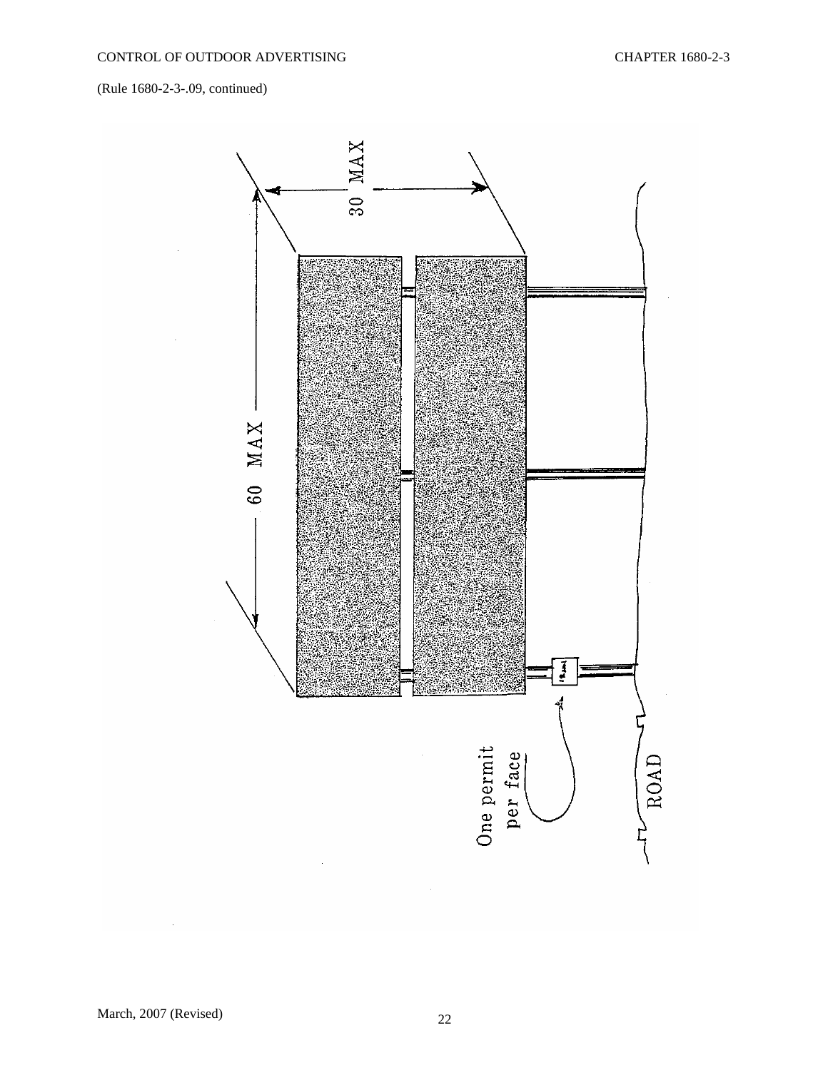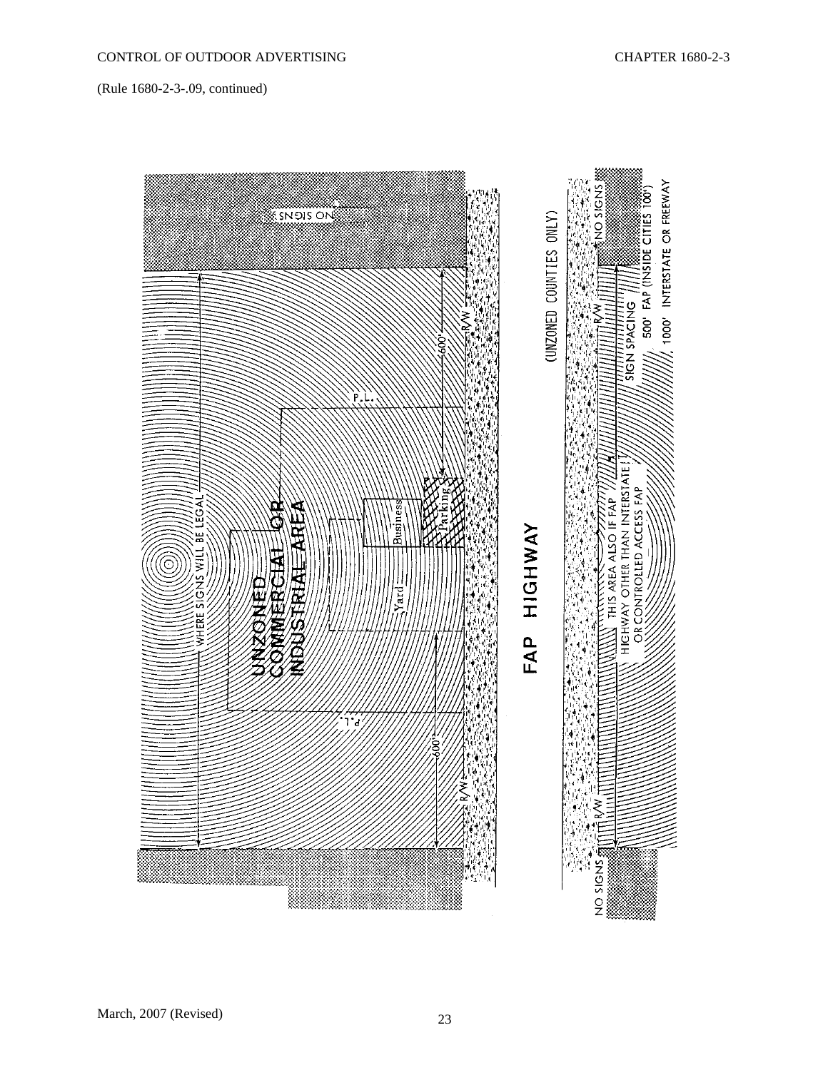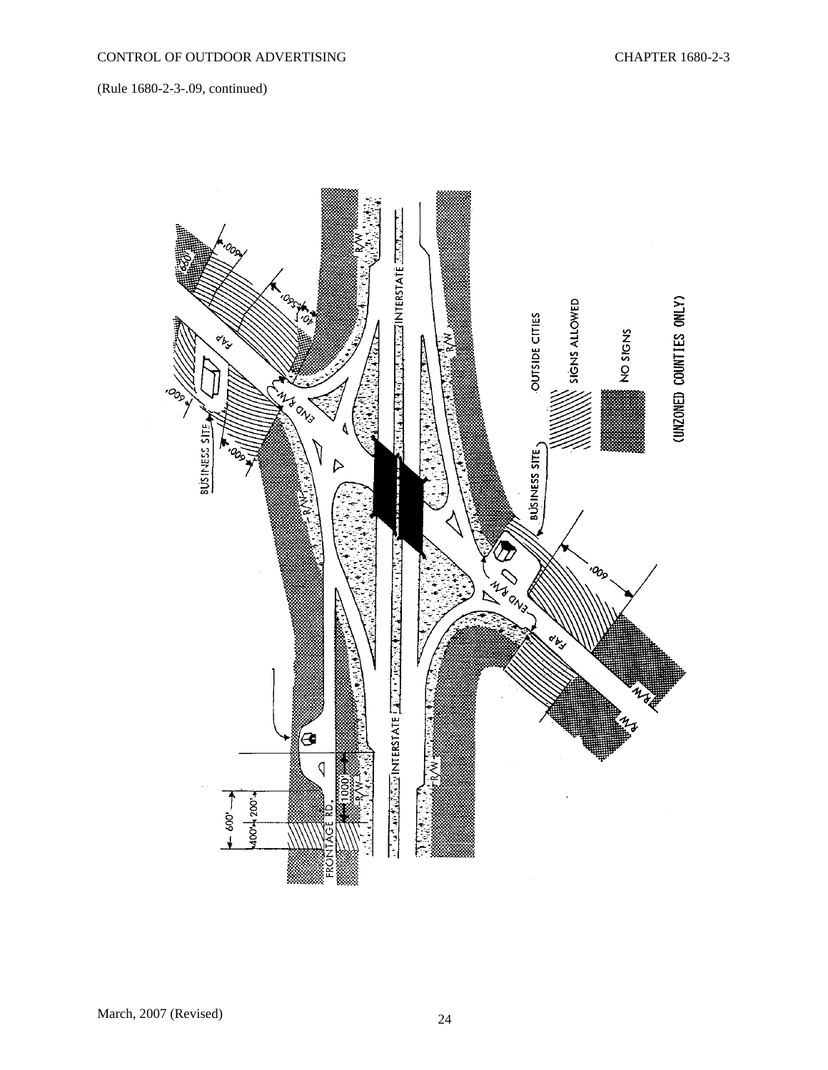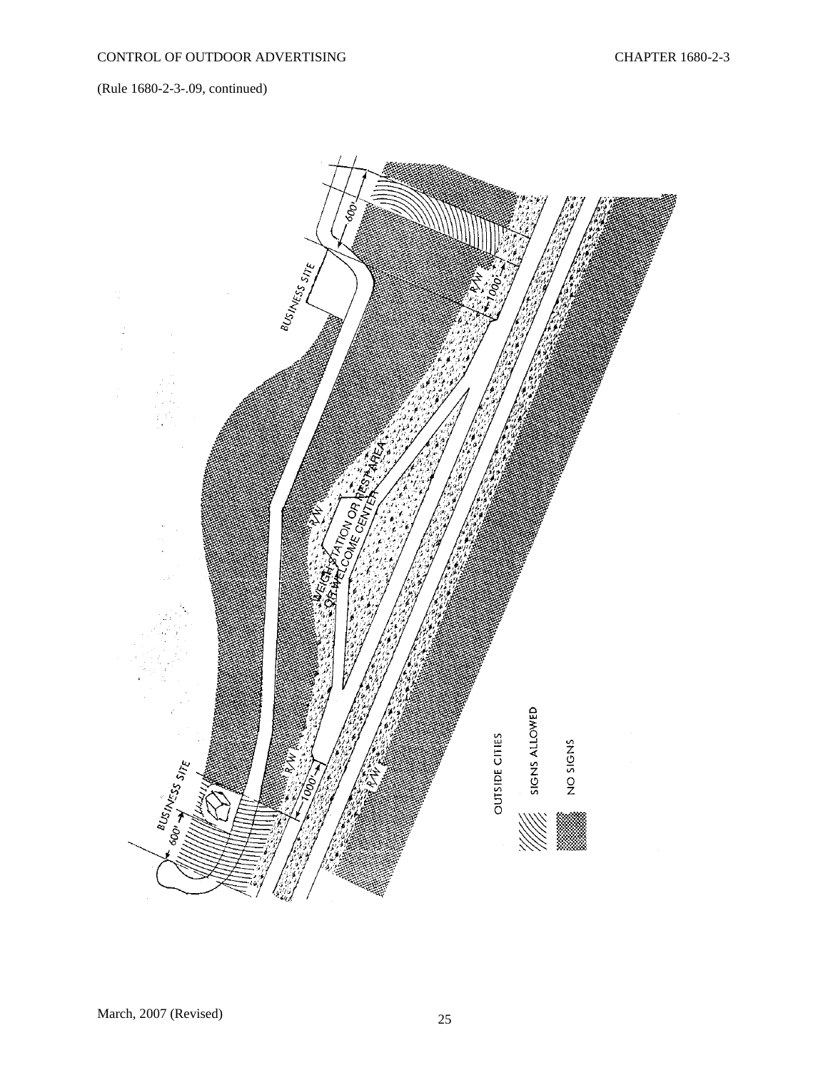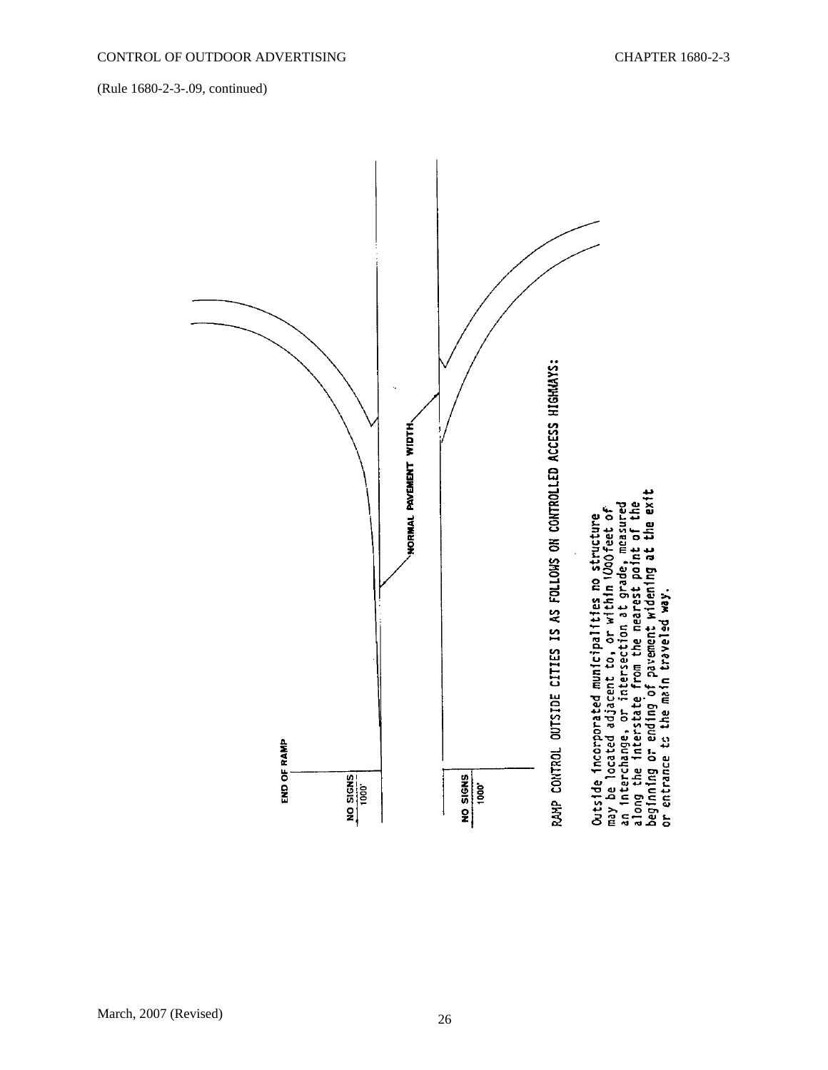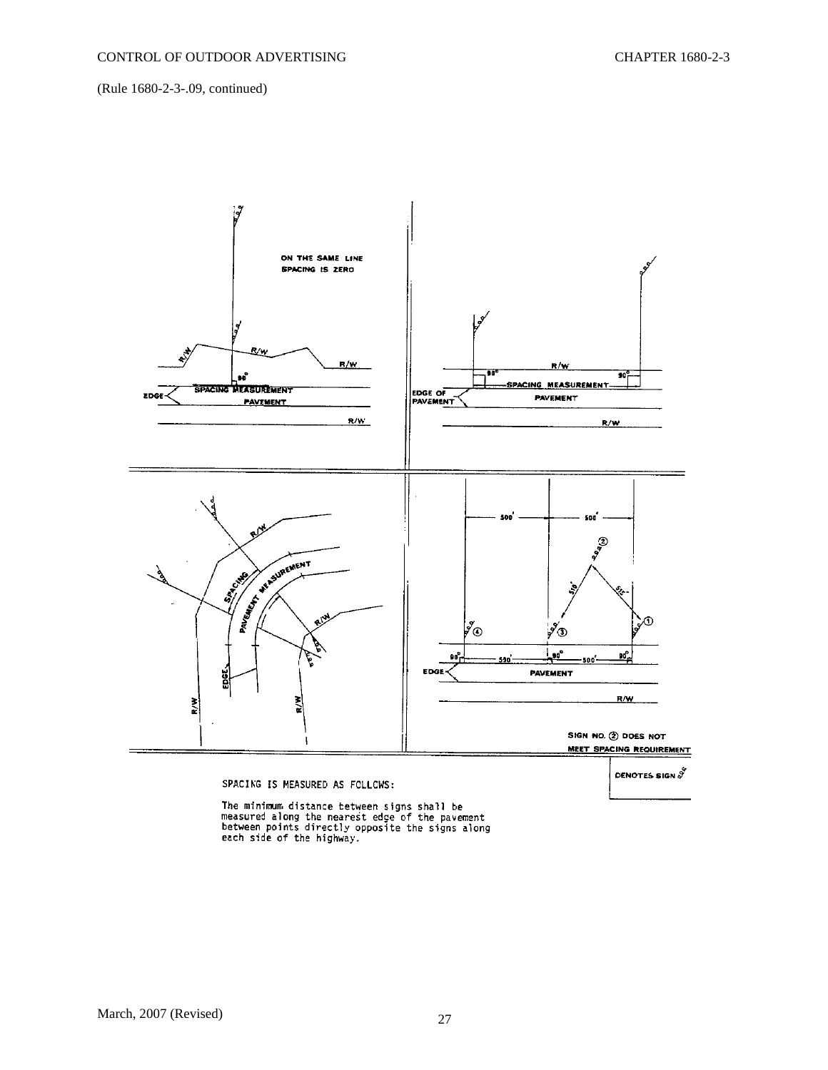

DENOTES SIGN  $\overset{\circ}{\mathcal{J}}$ 

#### SPACING IS MEASURED AS FOLLOWS:

The minimum distance tetween signs shall be<br>measured along the nearest edge of the pavement<br>between points directly opposite the signs along<br>each side of the highway.